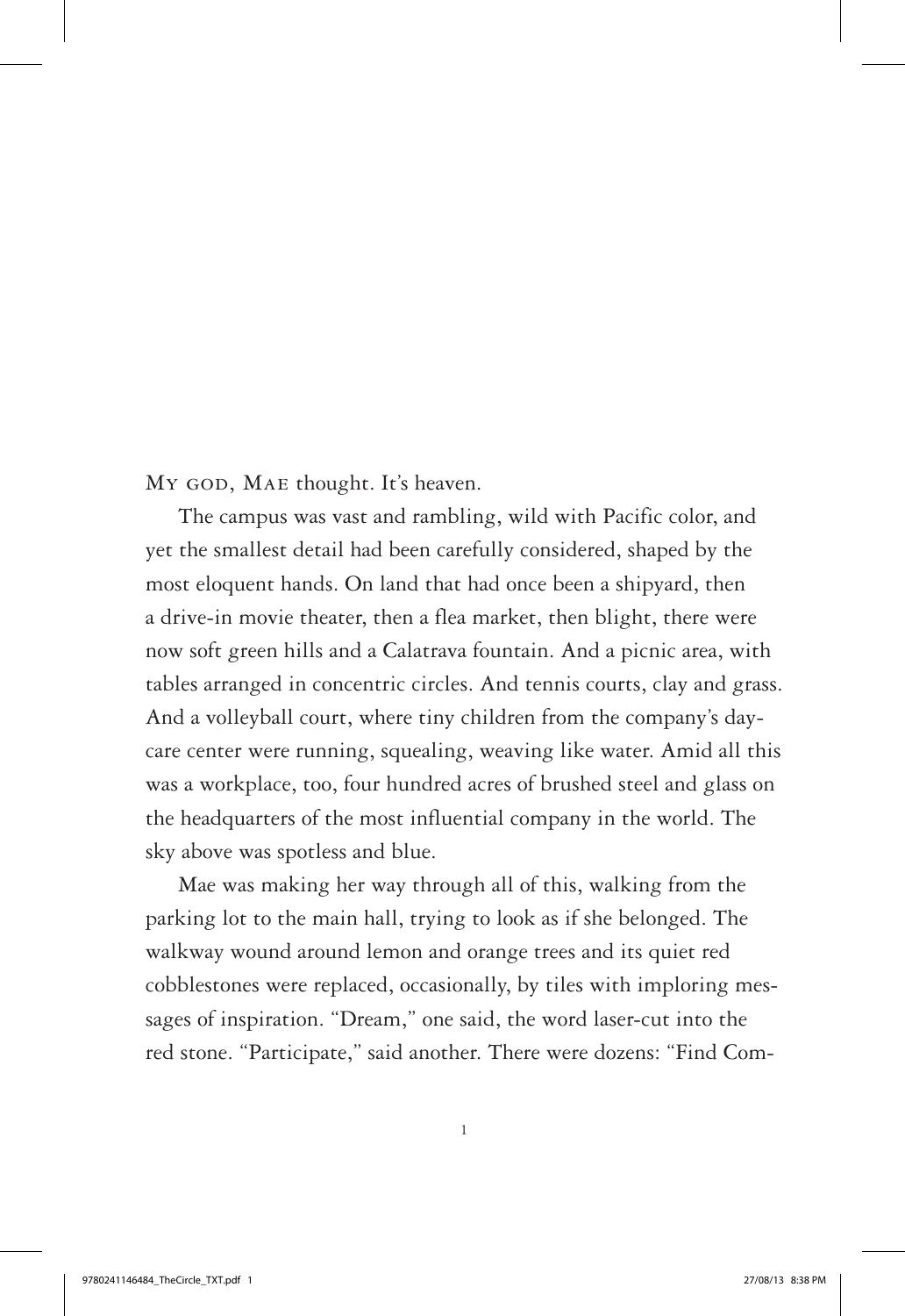MY GOD, MAE thought. It's heaven.

The campus was vast and rambling, wild with Pacific color, and yet the smallest detail had been carefully considered, shaped by the most eloquent hands. On land that had once been a shipyard, then a drive-in movie theater, then a flea market, then blight, there were now soft green hills and a Calatrava fountain. And a picnic area, with tables arranged in concentric circles. And tennis courts, clay and grass. And a volleyball court, where tiny children from the company's daycare center were running, squealing, weaving like water. Amid all this was a workplace, too, four hundred acres of brushed steel and glass on the headquarters of the most influential company in the world. The sky above was spotless and blue.

Mae was making her way through all of this, walking from the parking lot to the main hall, trying to look as if she belonged. The walkway wound around lemon and orange trees and its quiet red cobblestones were replaced, occasionally, by tiles with imploring messages of inspiration. "Dream," one said, the word laser-cut into the red stone. "Participate," said another. There were dozens: "Find Com-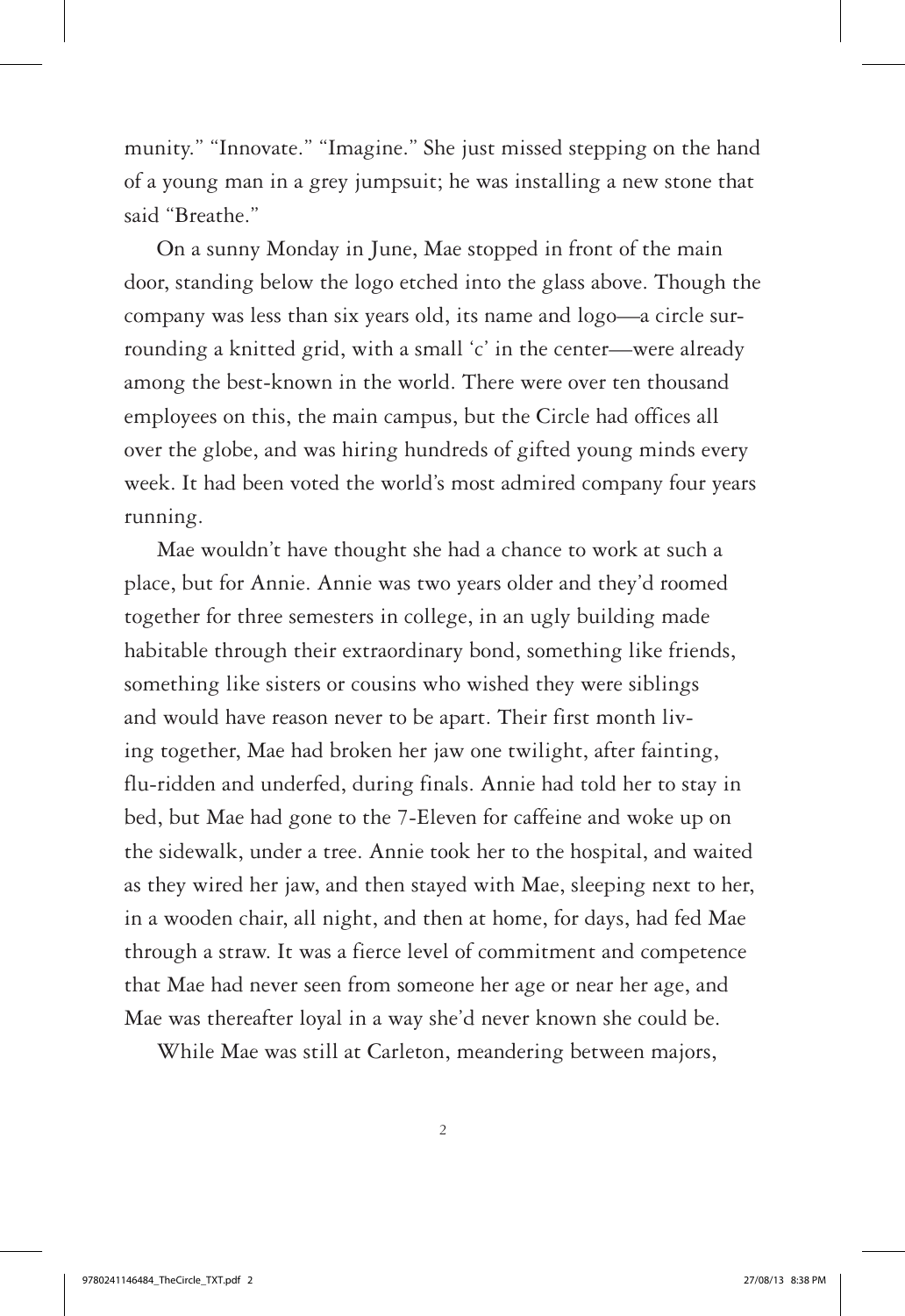munity." "Innovate." "Imagine." She just missed stepping on the hand of a young man in a grey jumpsuit; he was installing a new stone that said "Breathe."

On a sunny Monday in June, Mae stopped in front of the main door, standing below the logo etched into the glass above. Though the company was less than six years old, its name and logo—a circle surrounding a knitted grid, with a small 'c' in the center— were already among the best-known in the world. There were over ten thousand employees on this, the main campus, but the Circle had offices all over the globe, and was hiring hundreds of gifted young minds every week. It had been voted the world's most admired company four years running.

Mae wouldn't have thought she had a chance to work at such a place, but for Annie. Annie was two years older and they'd roomed together for three semesters in college, in an ugly building made habitable through their extraordinary bond, something like friends, something like sisters or cousins who wished they were siblings and would have reason never to be apart. Their first month living together, Mae had broken her jaw one twilight, after fainting, flu- ridden and underfed, during finals. Annie had told her to stay in bed, but Mae had gone to the 7-Eleven for caffeine and woke up on the sidewalk, under a tree. Annie took her to the hospital, and waited as they wired her jaw, and then stayed with Mae, sleeping next to her, in a wooden chair, all night, and then at home, for days, had fed Mae through a straw. It was a fierce level of commitment and competence that Mae had never seen from someone her age or near her age, and Mae was thereafter loyal in a way she'd never known she could be.

While Mae was still at Carleton, meandering between majors,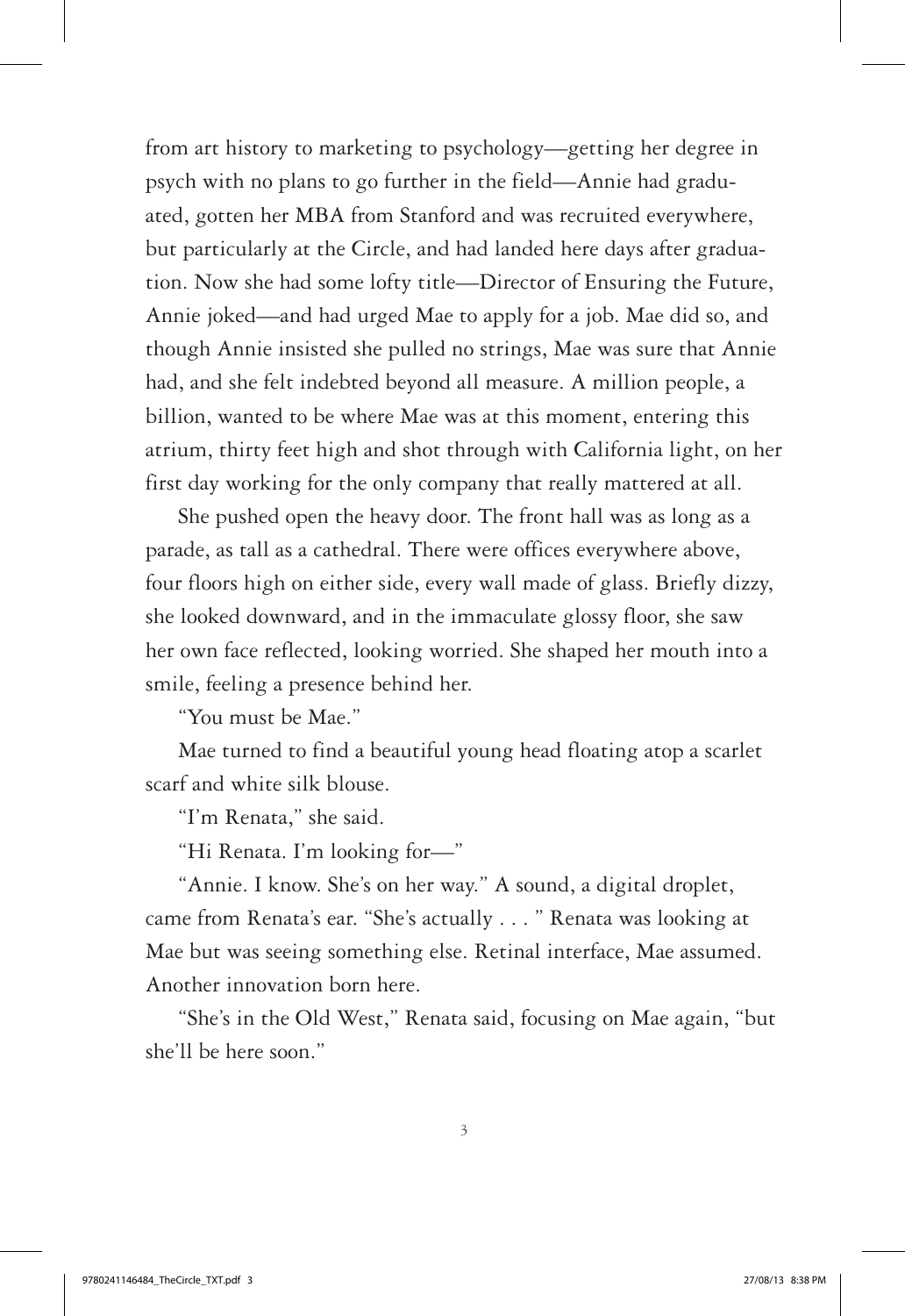from art history to marketing to psychology— getting her degree in psych with no plans to go further in the field— Annie had graduated, gotten her MBA from Stanford and was recruited everywhere, but particularly at the Circle, and had landed here days after graduation. Now she had some lofty title— Director of Ensuring the Future, Annie joked— and had urged Mae to apply for a job. Mae did so, and though Annie insisted she pulled no strings, Mae was sure that Annie had, and she felt indebted beyond all measure. A million people, a billion, wanted to be where Mae was at this moment, entering this atrium, thirty feet high and shot through with California light, on her first day working for the only company that really mattered at all.

She pushed open the heavy door. The front hall was as long as a parade, as tall as a cathedral. There were offices everywhere above, four floors high on either side, every wall made of glass. Briefly dizzy, she looked downward, and in the immaculate glossy floor, she saw her own face reflected, looking worried. She shaped her mouth into a smile, feeling a presence behind her.

"You must be Mae."

Mae turned to find a beautiful young head floating atop a scarlet scarf and white silk blouse.

"I'm Renata," she said.

"Hi Renata. I'm looking for— "

"Annie. I know. She's on her way." A sound, a digital droplet, came from Renata's ear. "She's actually . . . " Renata was looking at Mae but was seeing something else. Retinal interface, Mae assumed. Another innovation born here.

"She's in the Old West," Renata said, focusing on Mae again, "but she'll be here soon."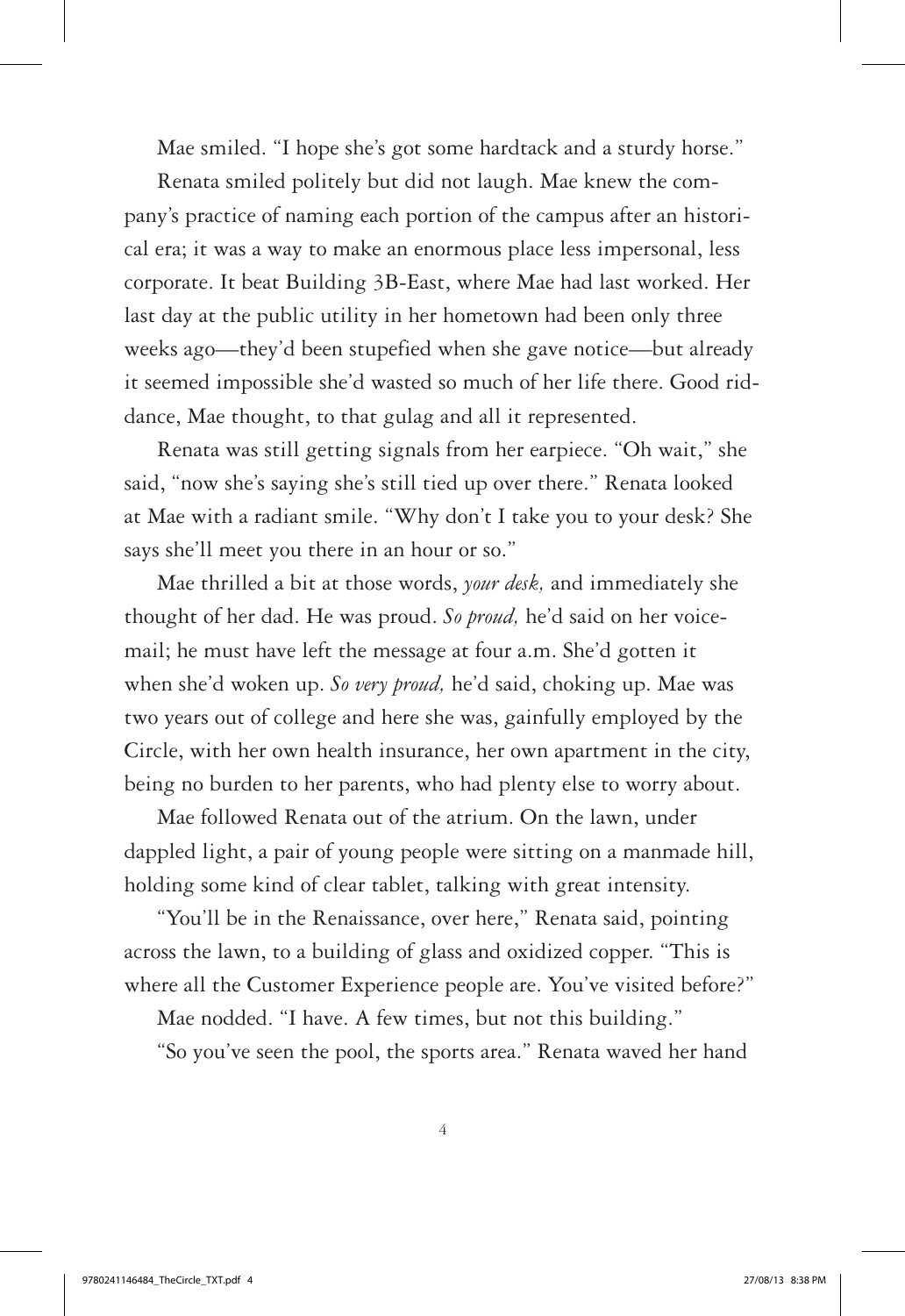Mae smiled. "I hope she's got some hardtack and a sturdy horse."

Renata smiled politely but did not laugh. Mae knew the company's practice of naming each portion of the campus after an historical era; it was a way to make an enormous place less impersonal, less corporate. It beat Building 3B-East, where Mae had last worked. Her last day at the public utility in her hometown had been only three weeks ago— they'd been stupefied when she gave notice— but already it seemed impossible she'd wasted so much of her life there. Good riddance, Mae thought, to that gulag and all it represented.

Renata was still getting signals from her earpiece. "Oh wait," she said, "now she's saying she's still tied up over there." Renata looked at Mae with a radiant smile. "Why don't I take you to your desk? She says she'll meet you there in an hour or so."

Mae thrilled a bit at those words, *your desk,* and immediately she thought of her dad. He was proud. *So proud,* he'd said on her voicemail; he must have left the message at four a.m. She'd gotten it when she'd woken up. *So very proud,* he'd said, choking up. Mae was two years out of college and here she was, gainfully employed by the Circle, with her own health insurance, her own apartment in the city, being no burden to her parents, who had plenty else to worry about.

Mae followed Renata out of the atrium. On the lawn, under dappled light, a pair of young people were sitting on a manmade hill, holding some kind of clear tablet, talking with great intensity.

"You'll be in the Renaissance, over here," Renata said, pointing across the lawn, to a building of glass and oxidized copper. "This is where all the Customer Experience people are. You've visited before?"

Mae nodded. "I have. A few times, but not this building."

"So you've seen the pool, the sports area." Renata waved her hand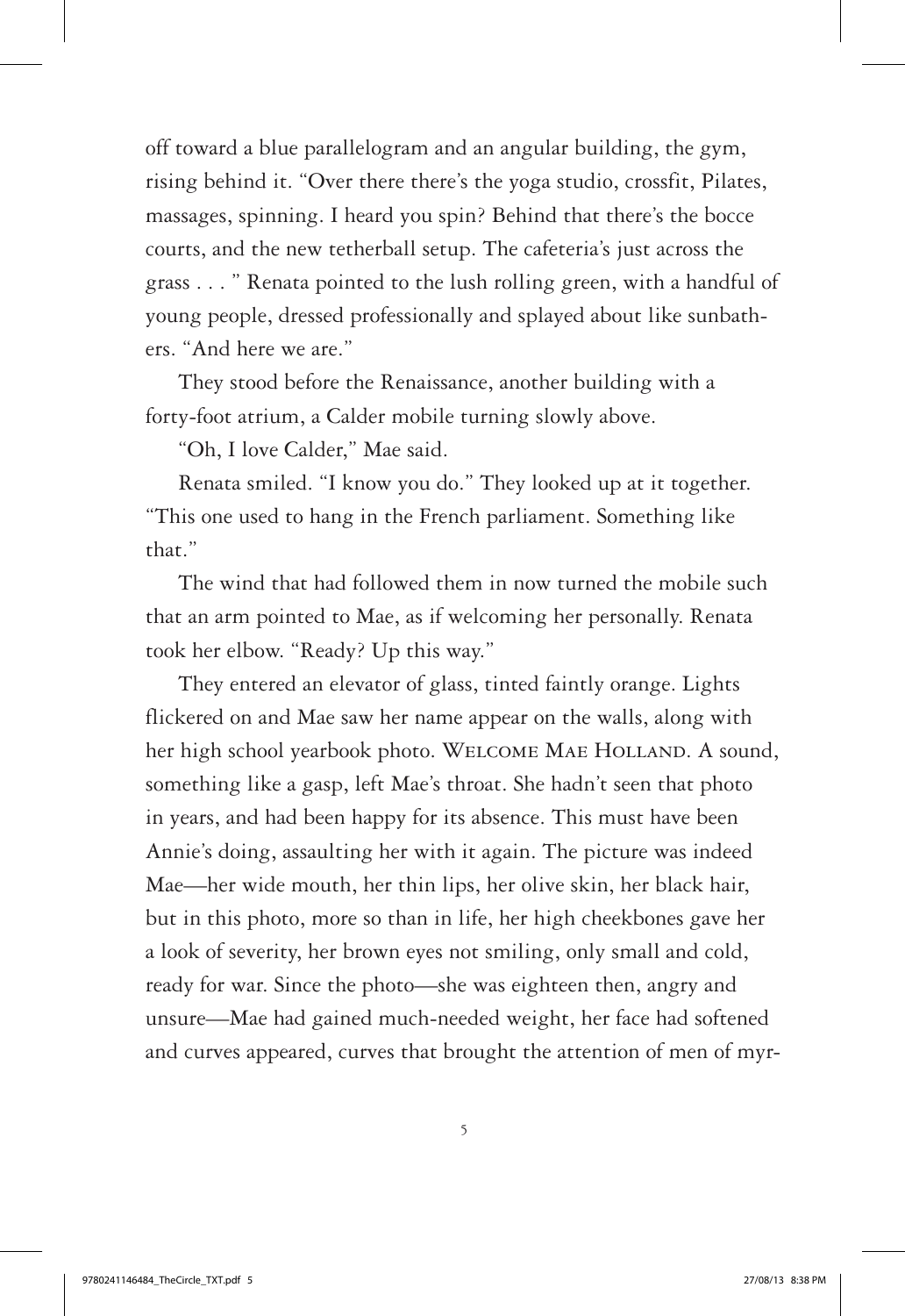off toward a blue parallelogram and an angular building, the gym, rising behind it. "Over there there's the yoga studio, crossfit, Pilates, massages, spinning. I heard you spin? Behind that there's the bocce courts, and the new tetherball setup. The cafeteria's just across the grass . . . " Renata pointed to the lush rolling green, with a handful of young people, dressed professionally and splayed about like sunbathers. "And here we are."

They stood before the Renaissance, another building with a forty- foot atrium, a Calder mobile turning slowly above.

"Oh, I love Calder," Mae said.

Renata smiled. "I know you do." They looked up at it together. "This one used to hang in the French parliament. Something like that."

The wind that had followed them in now turned the mobile such that an arm pointed to Mae, as if welcoming her personally. Renata took her elbow. "Ready? Up this way."

They entered an elevator of glass, tinted faintly orange. Lights flickered on and Mae saw her name appear on the walls, along with her high school yearbook photo. WELCOME MAE HOLLAND. A sound, something like a gasp, left Mae's throat. She hadn't seen that photo in years, and had been happy for its absence. This must have been Annie's doing, assaulting her with it again. The picture was indeed Mae— her wide mouth, her thin lips, her olive skin, her black hair, but in this photo, more so than in life, her high cheekbones gave her a look of severity, her brown eyes not smiling, only small and cold, ready for war. Since the photo— she was eighteen then, angry and unsure— Mae had gained much- needed weight, her face had softened and curves appeared, curves that brought the attention of men of myr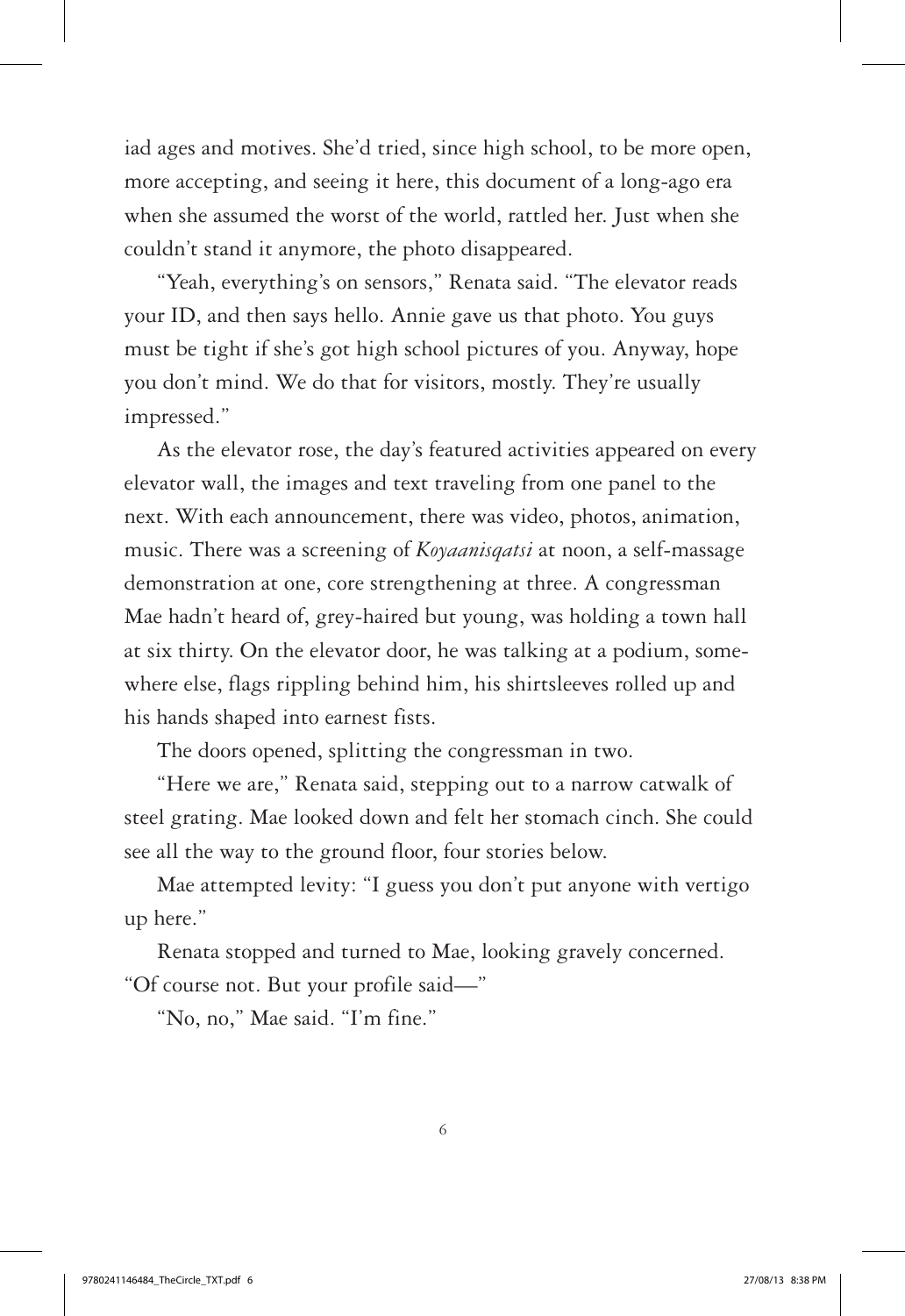iad ages and motives. She'd tried, since high school, to be more open, more accepting, and seeing it here, this document of a long-ago era when she assumed the worst of the world, rattled her. Just when she couldn't stand it anymore, the photo disappeared.

"Yeah, everything's on sensors," Renata said. "The elevator reads your ID, and then says hello. Annie gave us that photo. You guys must be tight if she's got high school pictures of you. Anyway, hope you don't mind. We do that for visitors, mostly. They're usually impressed."

As the elevator rose, the day's featured activities appeared on every elevator wall, the images and text traveling from one panel to the next. With each announcement, there was video, photos, animation, music. There was a screening of *Koyaanisqatsi* at noon, a self-massage demonstration at one, core strengthening at three. A congressman Mae hadn't heard of, grey-haired but young, was holding a town hall at six thirty. On the elevator door, he was talking at a podium, somewhere else, flags rippling behind him, his shirtsleeves rolled up and his hands shaped into earnest fists.

The doors opened, splitting the congressman in two.

"Here we are," Renata said, stepping out to a narrow catwalk of steel grating. Mae looked down and felt her stomach cinch. She could see all the way to the ground floor, four stories below.

Mae attempted levity: "I guess you don't put anyone with vertigo up here."

Renata stopped and turned to Mae, looking gravely concerned. "Of course not. But your profile said— "

"No, no," Mae said. "I'm fine."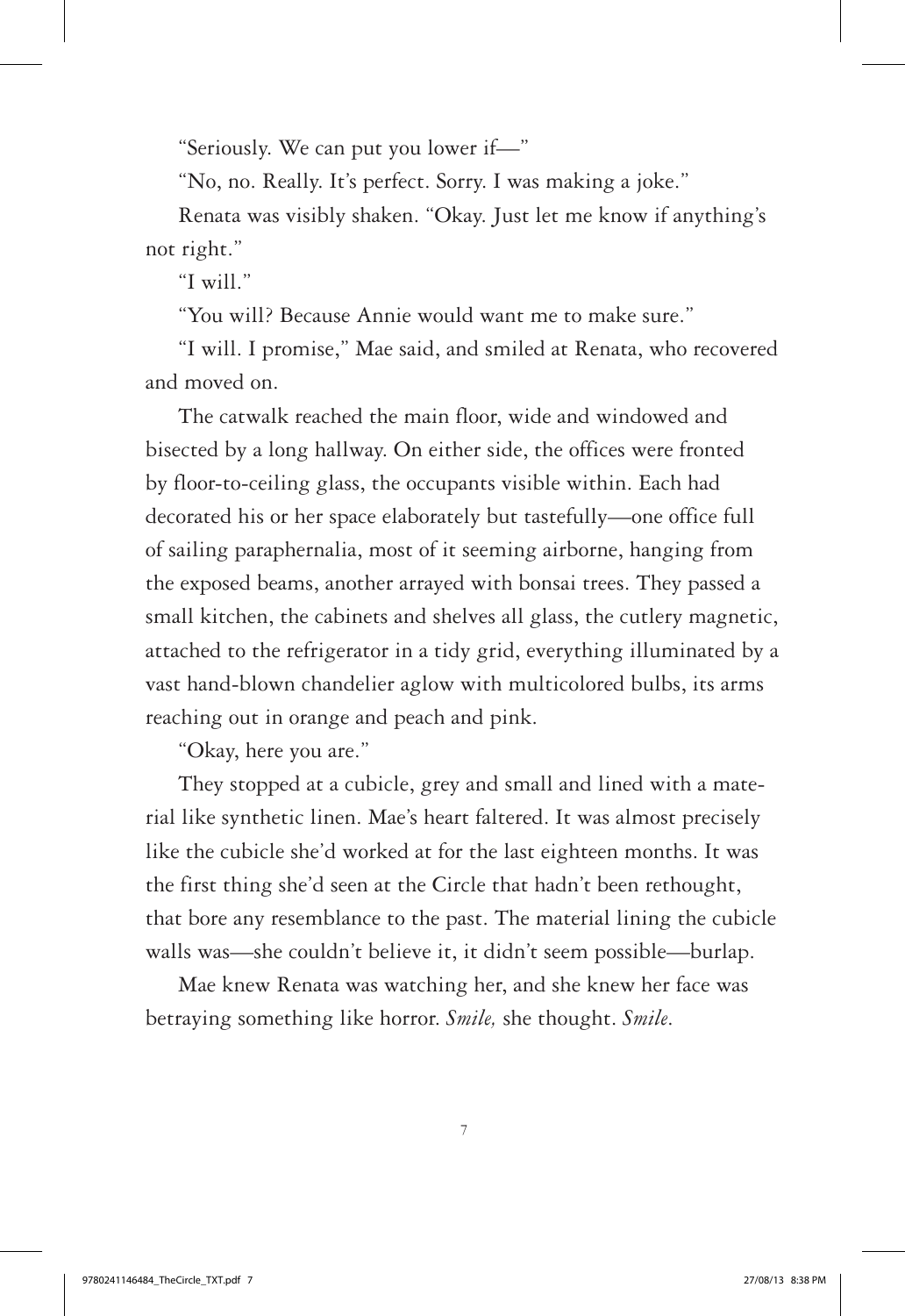"Seriously. We can put you lower if— "

"No, no. Really. It's perfect. Sorry. I was making a joke."

Renata was visibly shaken. "Okay. Just let me know if anything's not right."

"I will."

"You will? Because Annie would want me to make sure."

"I will. I promise," Mae said, and smiled at Renata, who recovered and moved on.

The catwalk reached the main floor, wide and windowed and bisected by a long hallway. On either side, the offices were fronted by floor-to-ceiling glass, the occupants visible within. Each had decorated his or her space elaborately but tastefully— one office full of sailing paraphernalia, most of it seeming airborne, hanging from the exposed beams, another arrayed with bonsai trees. They passed a small kitchen, the cabinets and shelves all glass, the cutlery magnetic, attached to the refrigerator in a tidy grid, everything illuminated by a vast hand-blown chandelier aglow with multicolored bulbs, its arms reaching out in orange and peach and pink.

"Okay, here you are."

They stopped at a cubicle, grey and small and lined with a material like synthetic linen. Mae's heart faltered. It was almost precisely like the cubicle she'd worked at for the last eighteen months. It was the first thing she'd seen at the Circle that hadn't been rethought, that bore any resemblance to the past. The material lining the cubicle walls was— she couldn't believe it, it didn't seem possible— burlap.

Mae knew Renata was watching her, and she knew her face was betraying something like horror. *Smile,* she thought. *Smile*.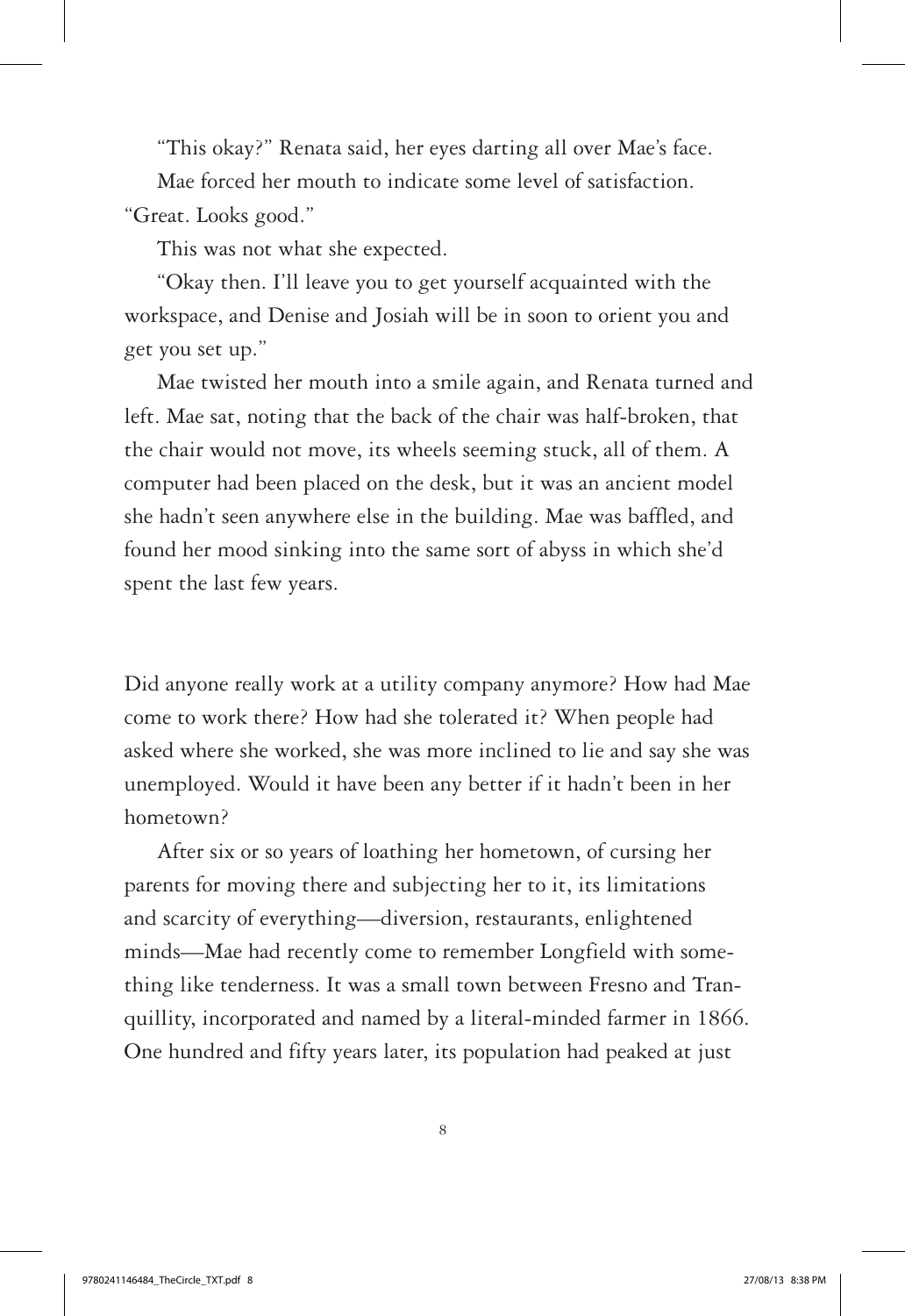"This okay?" Renata said, her eyes darting all over Mae's face.

Mae forced her mouth to indicate some level of satisfaction. "Great. Looks good."

This was not what she expected.

"Okay then. I'll leave you to get yourself acquainted with the workspace, and Denise and Josiah will be in soon to orient you and get you set up."

Mae twisted her mouth into a smile again, and Renata turned and left. Mae sat, noting that the back of the chair was half-broken, that the chair would not move, its wheels seeming stuck, all of them. A computer had been placed on the desk, but it was an ancient model she hadn't seen anywhere else in the building. Mae was baffled, and found her mood sinking into the same sort of abyss in which she'd spent the last few years.

Did anyone really work at a utility company anymore? How had Mae come to work there? How had she tolerated it? When people had asked where she worked, she was more inclined to lie and say she was unemployed. Would it have been any better if it hadn't been in her hometown?

After six or so years of loathing her hometown, of cursing her parents for moving there and subjecting her to it, its limitations and scarcity of everything— diversion, restaurants, enlightened minds— Mae had recently come to remember Longfield with something like tenderness. It was a small town between Fresno and Tranquillity, incorporated and named by a literal-minded farmer in 1866. One hundred and fifty years later, its population had peaked at just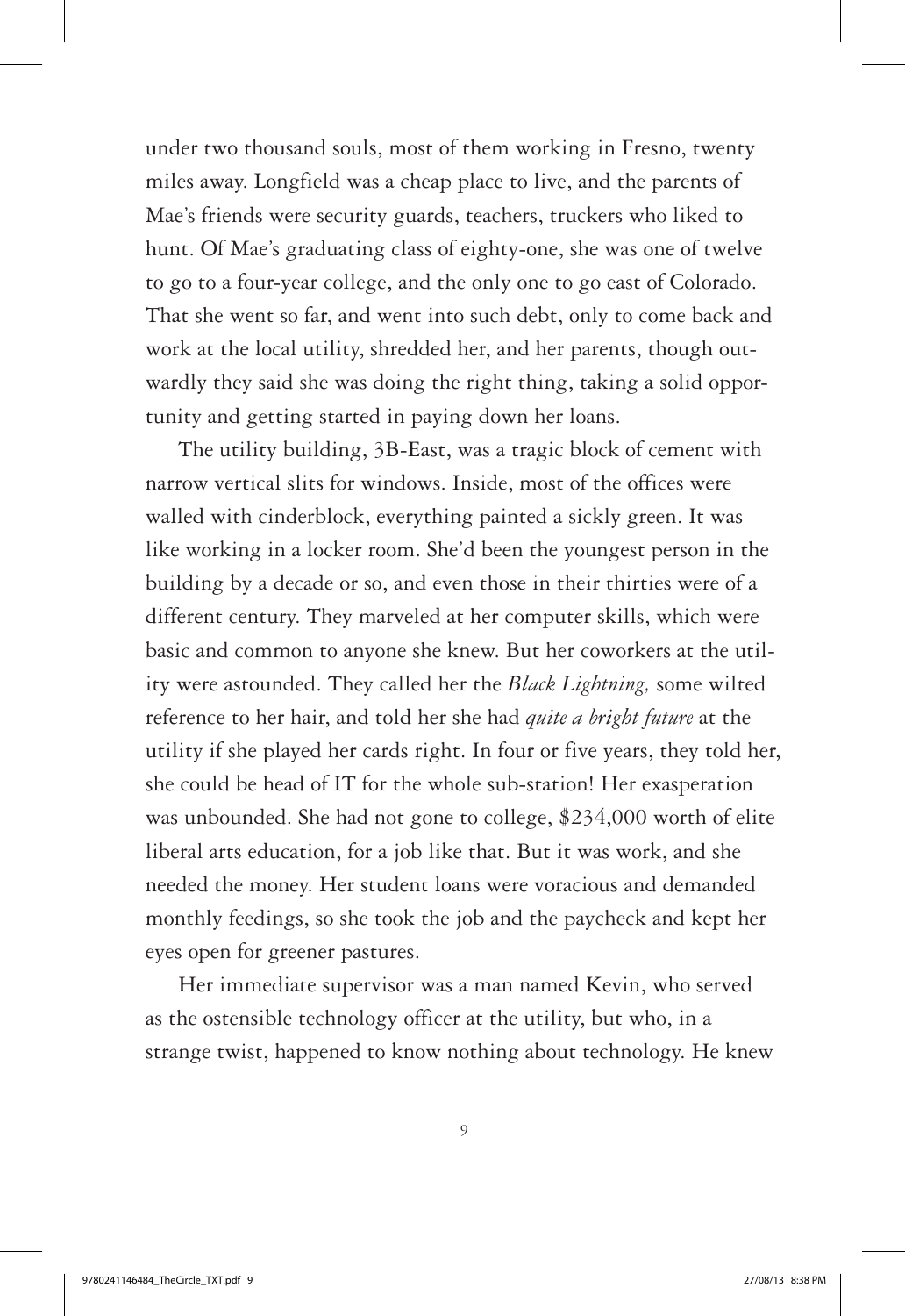under two thousand souls, most of them working in Fresno, twenty miles away. Longfield was a cheap place to live, and the parents of Mae's friends were security guards, teachers, truckers who liked to hunt. Of Mae's graduating class of eighty-one, she was one of twelve to go to a four- year college, and the only one to go east of Colorado. That she went so far, and went into such debt, only to come back and work at the local utility, shredded her, and her parents, though outwardly they said she was doing the right thing, taking a solid opportunity and getting started in paying down her loans.

The utility building, 3B-East, was a tragic block of cement with narrow vertical slits for windows. Inside, most of the offices were walled with cinderblock, everything painted a sickly green. It was like working in a locker room. She'd been the youngest person in the building by a decade or so, and even those in their thirties were of a different century. They marveled at her computer skills, which were basic and common to anyone she knew. But her coworkers at the utility were astounded. They called her the *Black Lightning,* some wilted reference to her hair, and told her she had *quite a bright future* at the utility if she played her cards right. In four or five years, they told her, she could be head of IT for the whole sub- station! Her exasperation was unbounded. She had not gone to college, \$234,000 worth of elite liberal arts education, for a job like that. But it was work, and she needed the money. Her student loans were voracious and demanded monthly feedings, so she took the job and the paycheck and kept her eyes open for greener pastures.

Her immediate supervisor was a man named Kevin, who served as the ostensible technology officer at the utility, but who, in a strange twist, happened to know nothing about technology. He knew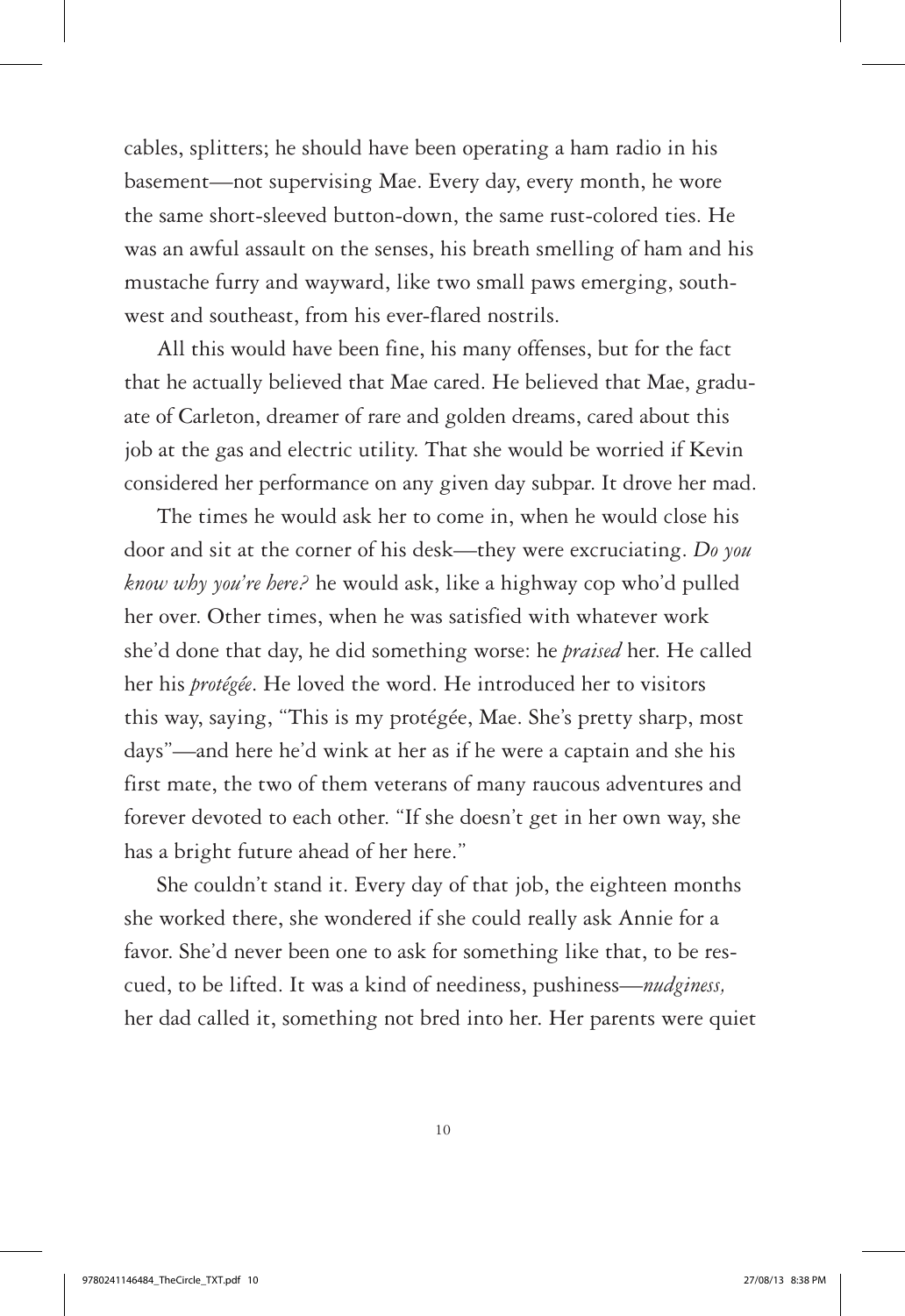cables, splitters; he should have been operating a ham radio in his basement— not supervising Mae. Every day, every month, he wore the same short-sleeved button-down, the same rust-colored ties. He was an awful assault on the senses, his breath smelling of ham and his mustache furry and wayward, like two small paws emerging, southwest and southeast, from his ever-flared nostrils.

All this would have been fine, his many offenses, but for the fact that he actually believed that Mae cared. He believed that Mae, graduate of Carleton, dreamer of rare and golden dreams, cared about this job at the gas and electric utility. That she would be worried if Kevin considered her performance on any given day subpar. It drove her mad.

The times he would ask her to come in, when he would close his door and sit at the corner of his desk— they were excruciating. *Do you know why you're here?* he would ask, like a highway cop who'd pulled her over. Other times, when he was satisfied with whatever work she'd done that day, he did something worse: he *praised* her. He called her his *protégée*. He loved the word. He introduced her to visitors this way, saying, "This is my protégée, Mae. She's pretty sharp, most days"— and here he'd wink at her as if he were a captain and she his first mate, the two of them veterans of many raucous adventures and forever devoted to each other. "If she doesn't get in her own way, she has a bright future ahead of her here."

She couldn't stand it. Every day of that job, the eighteen months she worked there, she wondered if she could really ask Annie for a favor. She'd never been one to ask for something like that, to be rescued, to be lifted. It was a kind of neediness, pushiness— *nudginess,* her dad called it, something not bred into her. Her parents were quiet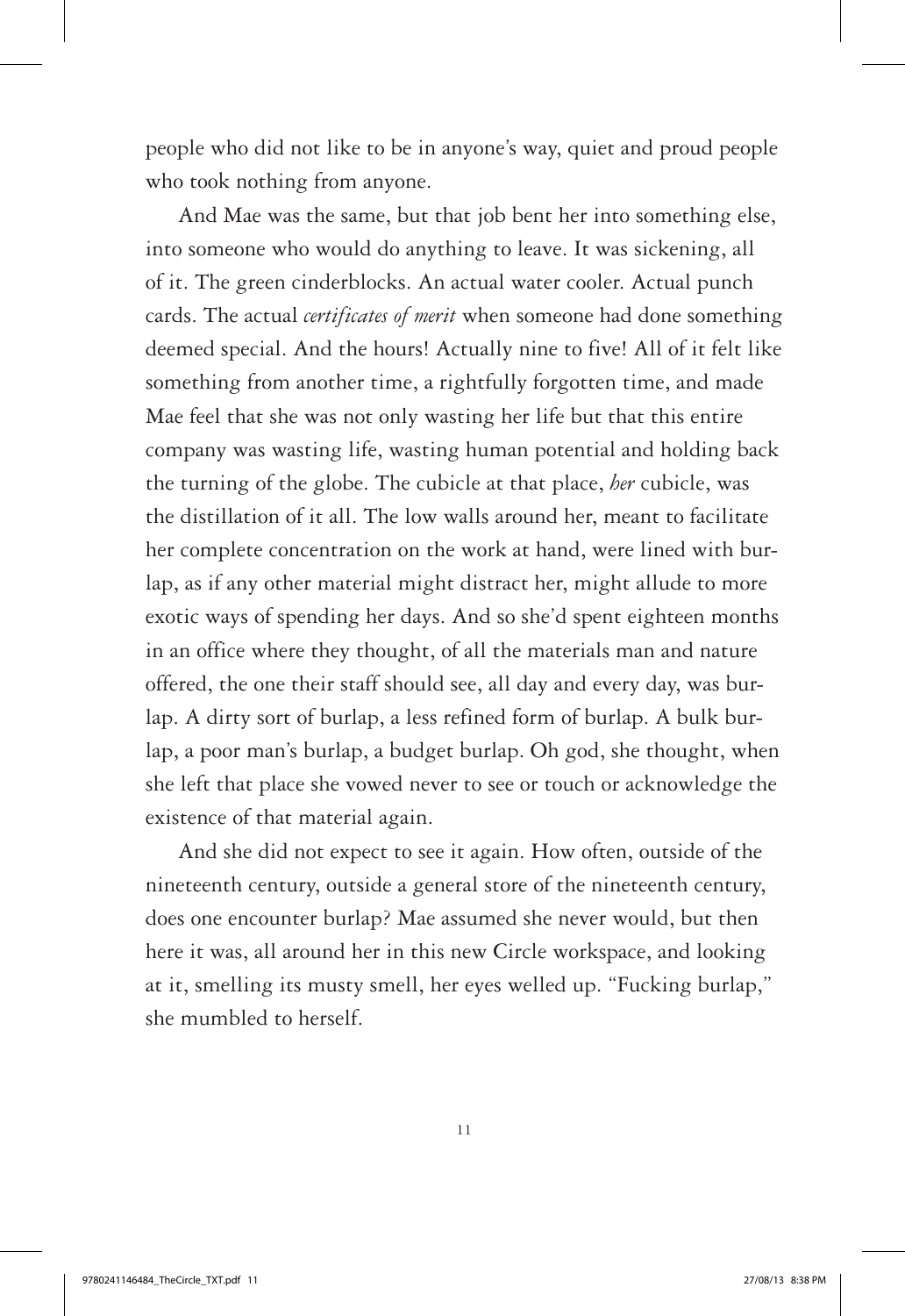people who did not like to be in anyone's way, quiet and proud people who took nothing from anyone.

And Mae was the same, but that job bent her into something else, into someone who would do anything to leave. It was sickening, all of it. The green cinderblocks. An actual water cooler. Actual punch cards. The actual *certificates of merit* when someone had done something deemed special. And the hours! Actually nine to five! All of it felt like something from another time, a rightfully forgotten time, and made Mae feel that she was not only wasting her life but that this entire company was wasting life, wasting human potential and holding back the turning of the globe. The cubicle at that place, *her* cubicle, was the distillation of it all. The low walls around her, meant to facilitate her complete concentration on the work at hand, were lined with burlap, as if any other material might distract her, might allude to more exotic ways of spending her days. And so she'd spent eighteen months in an office where they thought, of all the materials man and nature offered, the one their staff should see, all day and every day, was burlap. A dirty sort of burlap, a less refined form of burlap. A bulk burlap, a poor man's burlap, a budget burlap. Oh god, she thought, when she left that place she vowed never to see or touch or acknowledge the existence of that material again.

And she did not expect to see it again. How often, outside of the nineteenth century, outside a general store of the nineteenth century, does one encounter burlap? Mae assumed she never would, but then here it was, all around her in this new Circle workspace, and looking at it, smelling its musty smell, her eyes welled up. "Fucking burlap," she mumbled to herself.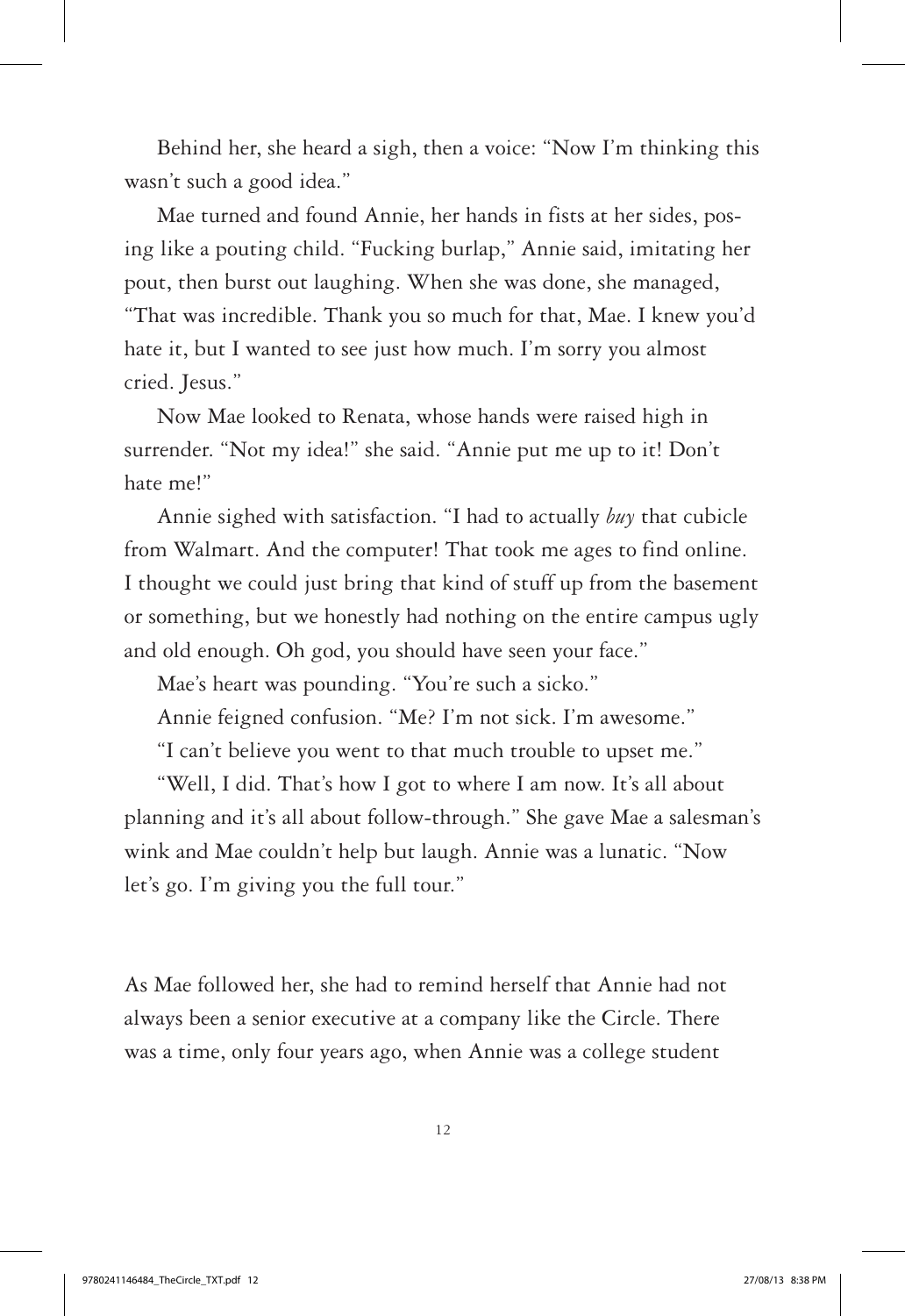Behind her, she heard a sigh, then a voice: "Now I'm thinking this wasn't such a good idea."

Mae turned and found Annie, her hands in fists at her sides, posing like a pouting child. "Fucking burlap," Annie said, imitating her pout, then burst out laughing. When she was done, she managed, "That was incredible. Thank you so much for that, Mae. I knew you'd hate it, but I wanted to see just how much. I'm sorry you almost cried. Jesus."

Now Mae looked to Renata, whose hands were raised high in surrender. "Not my idea!" she said. "Annie put me up to it! Don't hate me!"

Annie sighed with satisfaction. "I had to actually *buy* that cubicle from Walmart. And the computer! That took me ages to find online. I thought we could just bring that kind of stuff up from the basement or something, but we honestly had nothing on the entire campus ugly and old enough. Oh god, you should have seen your face."

Mae's heart was pounding. "You're such a sicko."

Annie feigned confusion. "Me? I'm not sick. I'm awesome."

"I can't believe you went to that much trouble to upset me."

"Well, I did. That's how I got to where I am now. It's all about planning and it's all about follow-through." She gave Mae a salesman's wink and Mae couldn't help but laugh. Annie was a lunatic. "Now let's go. I'm giving you the full tour."

As Mae followed her, she had to remind herself that Annie had not always been a senior executive at a company like the Circle. There was a time, only four years ago, when Annie was a college student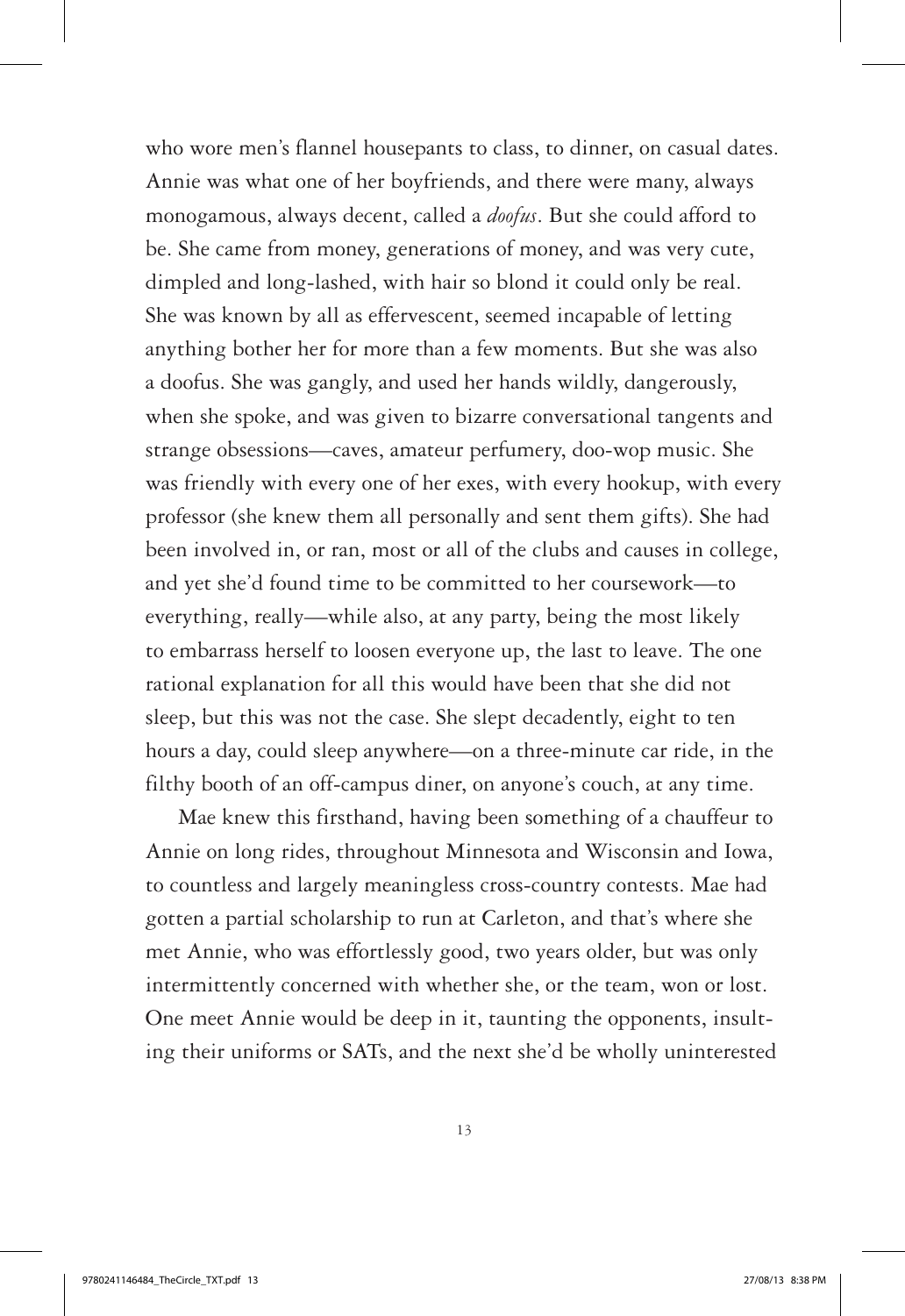who wore men's flannel housepants to class, to dinner, on casual dates. Annie was what one of her boyfriends, and there were many, always monogamous, always decent, called a *doofus*. But she could afford to be. She came from money, generations of money, and was very cute, dimpled and long-lashed, with hair so blond it could only be real. She was known by all as effervescent, seemed incapable of letting anything bother her for more than a few moments. But she was also a doofus. She was gangly, and used her hands wildly, dangerously, when she spoke, and was given to bizarre conversational tangents and strange obsessions— caves, amateur perfumery, doo- wop music. She was friendly with every one of her exes, with every hookup, with every professor (she knew them all personally and sent them gifts). She had been involved in, or ran, most or all of the clubs and causes in college, and yet she'd found time to be committed to her coursework— to everything, really—while also, at any party, being the most likely to embarrass herself to loosen everyone up, the last to leave. The one rational explanation for all this would have been that she did not sleep, but this was not the case. She slept decadently, eight to ten hours a day, could sleep anywhere—on a three-minute car ride, in the filthy booth of an off-campus diner, on anyone's couch, at any time.

Mae knew this firsthand, having been something of a chauffeur to Annie on long rides, throughout Minnesota and Wisconsin and Iowa, to countless and largely meaningless cross- country contests. Mae had gotten a partial scholarship to run at Carleton, and that's where she met Annie, who was effortlessly good, two years older, but was only intermittently concerned with whether she, or the team, won or lost. One meet Annie would be deep in it, taunting the opponents, insulting their uniforms or SATs, and the next she'd be wholly uninterested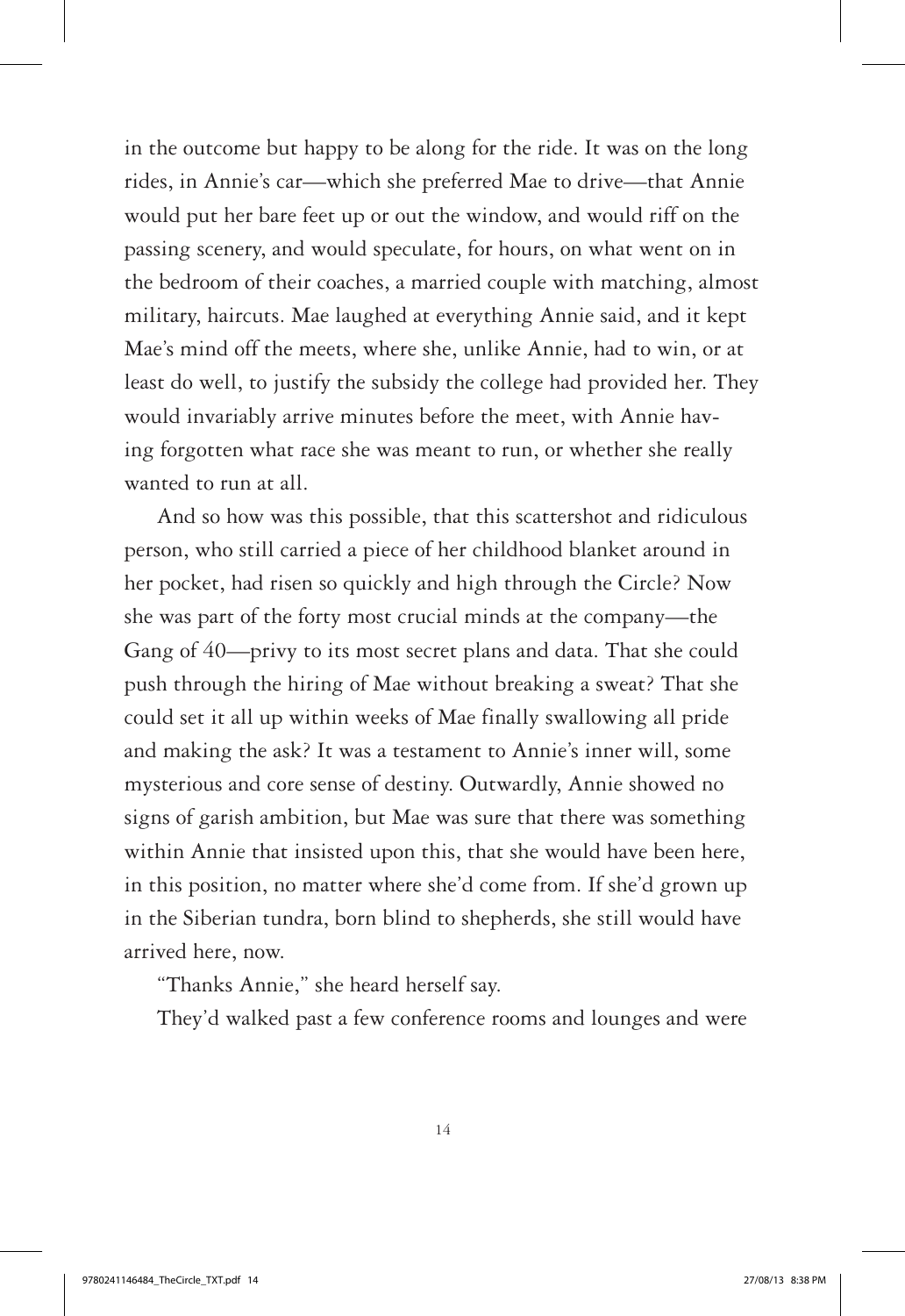in the outcome but happy to be along for the ride. It was on the long rides, in Annie's car— which she preferred Mae to drive— that Annie would put her bare feet up or out the window, and would riff on the passing scenery, and would speculate, for hours, on what went on in the bedroom of their coaches, a married couple with matching, almost military, haircuts. Mae laughed at everything Annie said, and it kept Mae's mind off the meets, where she, unlike Annie, had to win, or at least do well, to justify the subsidy the college had provided her. They would invariably arrive minutes before the meet, with Annie having forgotten what race she was meant to run, or whether she really wanted to run at all.

And so how was this possible, that this scattershot and ridiculous person, who still carried a piece of her childhood blanket around in her pocket, had risen so quickly and high through the Circle? Now she was part of the forty most crucial minds at the company— the Gang of 40— privy to its most secret plans and data. That she could push through the hiring of Mae without breaking a sweat? That she could set it all up within weeks of Mae finally swallowing all pride and making the ask? It was a testament to Annie's inner will, some mysterious and core sense of destiny. Outwardly, Annie showed no signs of garish ambition, but Mae was sure that there was something within Annie that insisted upon this, that she would have been here, in this position, no matter where she'd come from. If she'd grown up in the Siberian tundra, born blind to shepherds, she still would have arrived here, now.

"Thanks Annie," she heard herself say.

They'd walked past a few conference rooms and lounges and were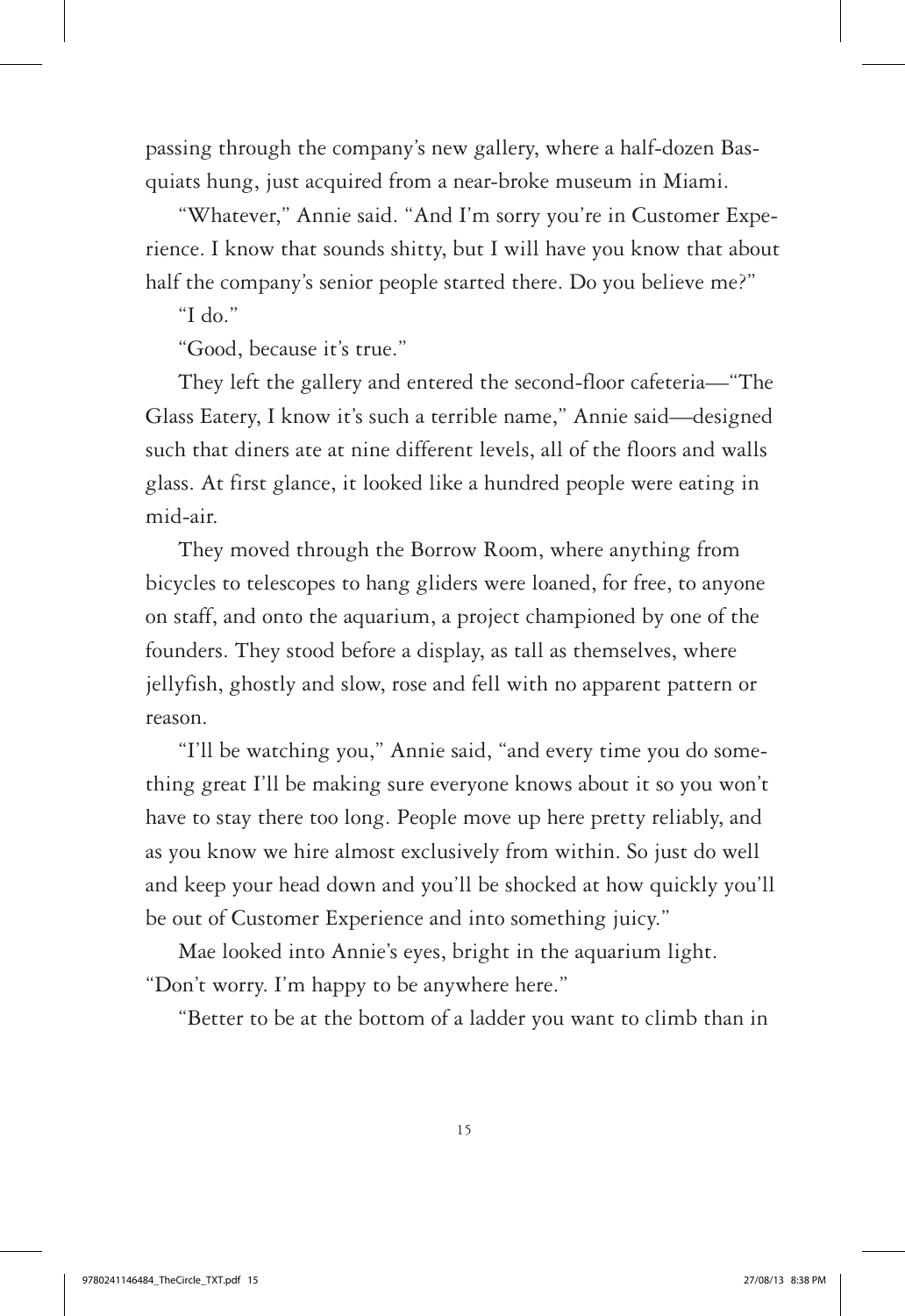passing through the company's new gallery, where a half- dozen Basquiats hung, just acquired from a near- broke museum in Miami.

"Whatever," Annie said. "And I'm sorry you're in Customer Experience. I know that sounds shitty, but I will have you know that about half the company's senior people started there. Do you believe me?"

"I do."

"Good, because it's true."

They left the gallery and entered the second-floor cafeteria—"The Glass Eatery, I know it's such a terrible name," Annie said— designed such that diners ate at nine different levels, all of the floors and walls glass. At first glance, it looked like a hundred people were eating in mid-air.

They moved through the Borrow Room, where anything from bicycles to telescopes to hang gliders were loaned, for free, to anyone on staff, and onto the aquarium, a project championed by one of the founders. They stood before a display, as tall as themselves, where jellyfish, ghostly and slow, rose and fell with no apparent pattern or reason.

"I'll be watching you," Annie said, "and every time you do something great I'll be making sure everyone knows about it so you won't have to stay there too long. People move up here pretty reliably, and as you know we hire almost exclusively from within. So just do well and keep your head down and you'll be shocked at how quickly you'll be out of Customer Experience and into something juicy."

Mae looked into Annie's eyes, bright in the aquarium light. "Don't worry. I'm happy to be anywhere here."

"Better to be at the bottom of a ladder you want to climb than in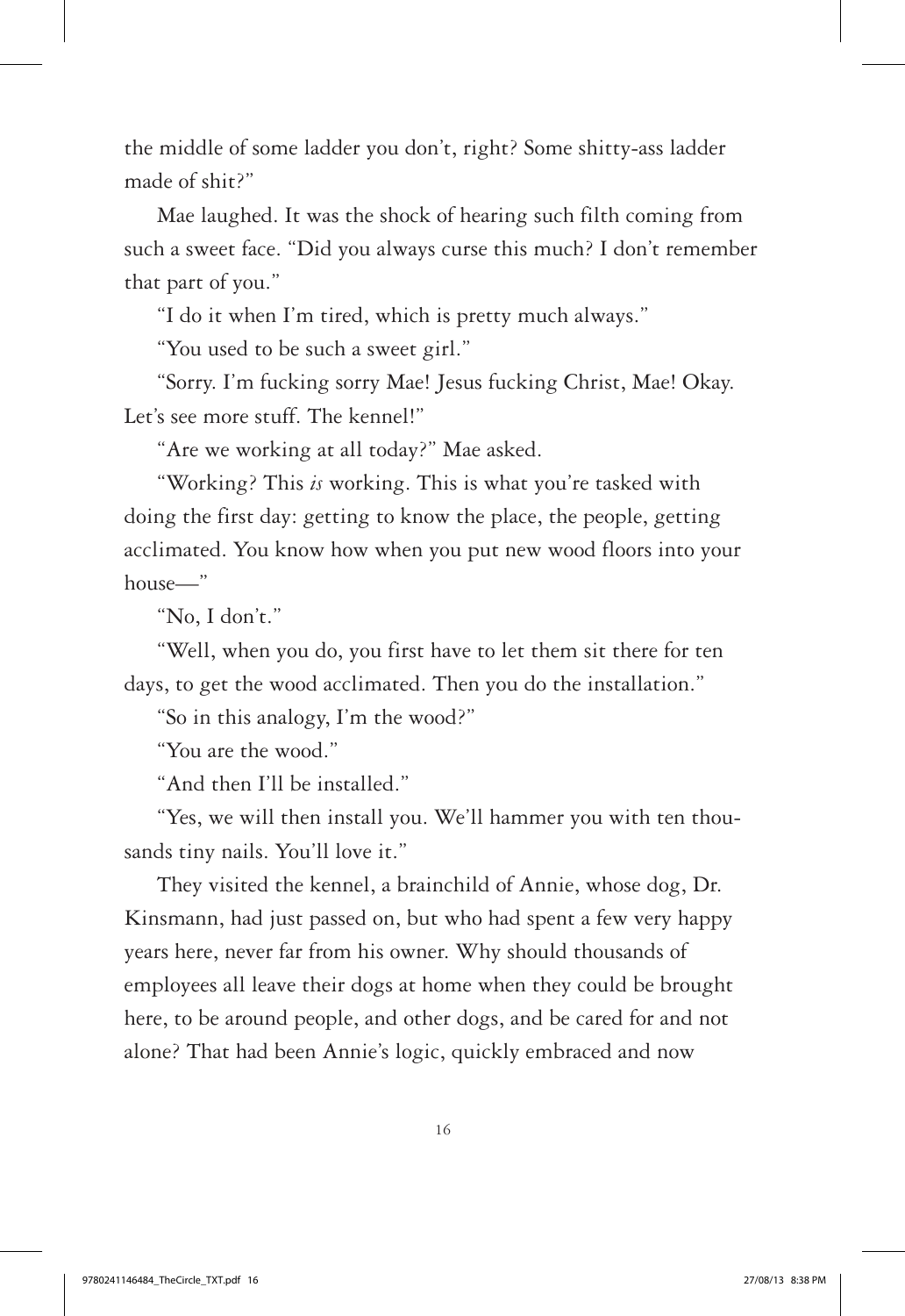the middle of some ladder you don't, right? Some shitty-ass ladder made of shit?"

Mae laughed. It was the shock of hearing such filth coming from such a sweet face. "Did you always curse this much? I don't remember that part of you."

"I do it when I'm tired, which is pretty much always."

"You used to be such a sweet girl."

"Sorry. I'm fucking sorry Mae! Jesus fucking Christ, Mae! Okay. Let's see more stuff. The kennel!"

"Are we working at all today?" Mae asked.

"Working? This *is* working. This is what you're tasked with doing the first day: getting to know the place, the people, getting acclimated. You know how when you put new wood floors into your house— "

"No, I don't."

"Well, when you do, you first have to let them sit there for ten days, to get the wood acclimated. Then you do the installation."

"So in this analogy, I'm the wood?"

"You are the wood."

"And then I'll be installed."

"Yes, we will then install you. We'll hammer you with ten thousands tiny nails. You'll love it."

They visited the kennel, a brainchild of Annie, whose dog, Dr. Kinsmann, had just passed on, but who had spent a few very happy years here, never far from his owner. Why should thousands of employees all leave their dogs at home when they could be brought here, to be around people, and other dogs, and be cared for and not alone? That had been Annie's logic, quickly embraced and now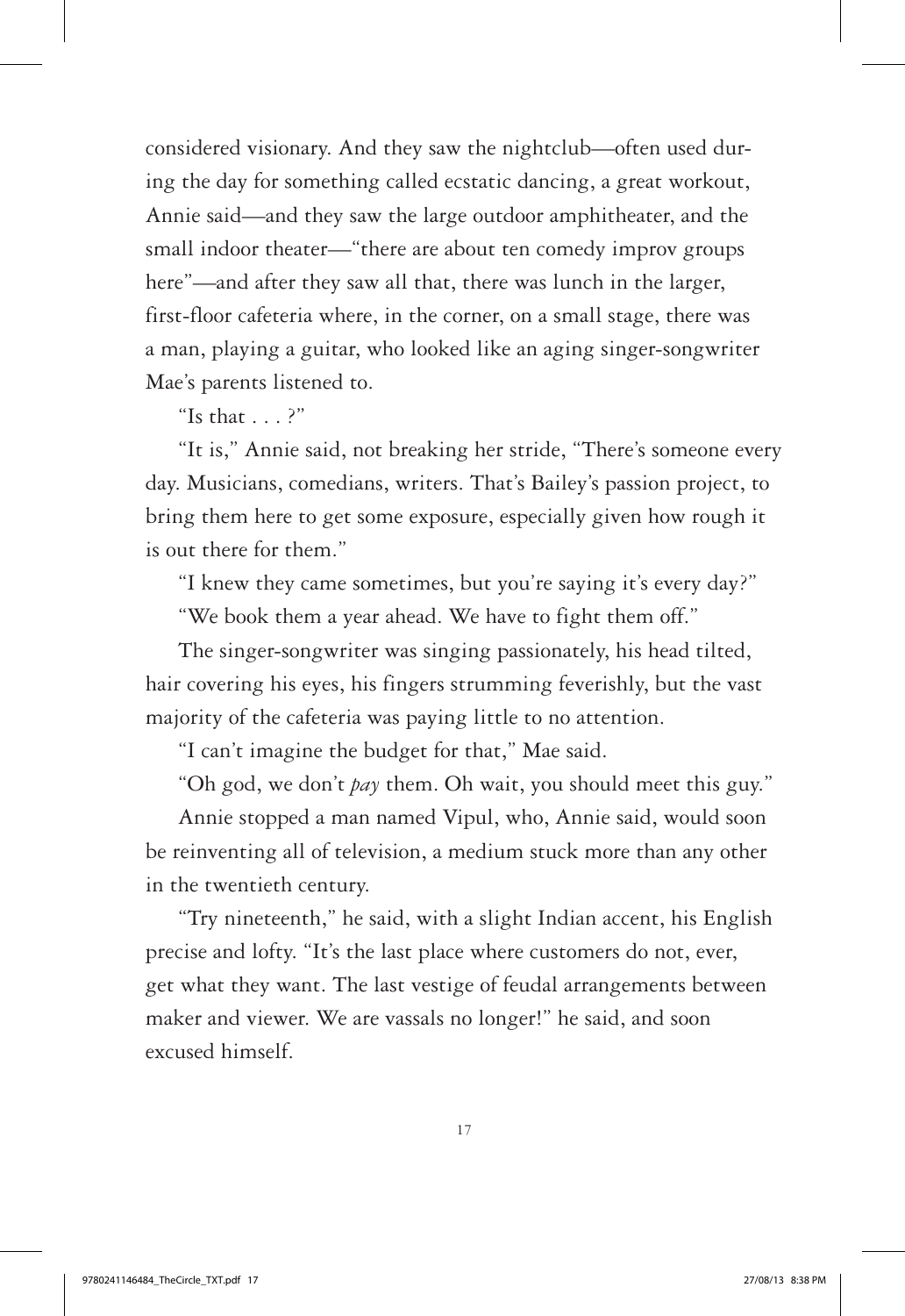considered visionary. And they saw the nightclub— often used during the day for something called ecstatic dancing, a great workout, Annie said— and they saw the large outdoor amphitheater, and the small indoor theater—"there are about ten comedy improv groups here"—and after they saw all that, there was lunch in the larger, first- floor cafeteria where, in the corner, on a small stage, there was a man, playing a guitar, who looked like an aging singer-songwriter Mae's parents listened to.

"Is that  $\ldots$  ?"

"It is," Annie said, not breaking her stride, "There's someone every day. Musicians, comedians, writers. That's Bailey's passion project, to bring them here to get some exposure, especially given how rough it is out there for them."

"I knew they came sometimes, but you're saying it's every day?"

"We book them a year ahead. We have to fight them off."

The singer-songwriter was singing passionately, his head tilted, hair covering his eyes, his fingers strumming feverishly, but the vast majority of the cafeteria was paying little to no attention.

"I can't imagine the budget for that," Mae said.

"Oh god, we don't *pay* them. Oh wait, you should meet this guy."

Annie stopped a man named Vipul, who, Annie said, would soon be reinventing all of television, a medium stuck more than any other in the twentieth century.

"Try nineteenth," he said, with a slight Indian accent, his English precise and lofty. "It's the last place where customers do not, ever, get what they want. The last vestige of feudal arrangements between maker and viewer. We are vassals no longer!" he said, and soon excused himself.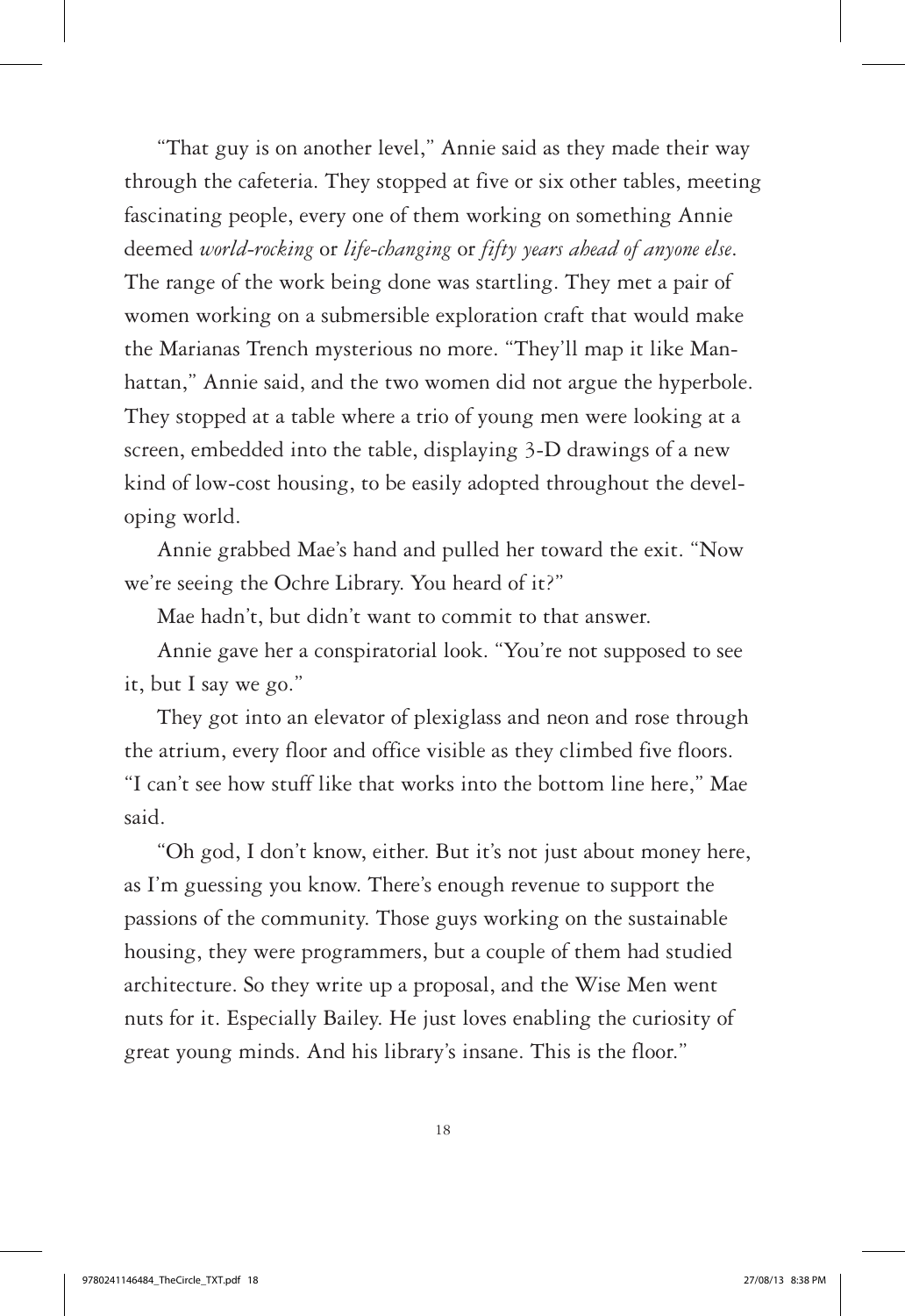"That guy is on another level," Annie said as they made their way through the cafeteria. They stopped at five or six other tables, meeting fascinating people, every one of them working on something Annie deemed *world- rocking* or *life- changing* or *fifty years ahead of anyone else*. The range of the work being done was startling. They met a pair of women working on a submersible exploration craft that would make the Marianas Trench mysterious no more. "They'll map it like Manhattan," Annie said, and the two women did not argue the hyperbole. They stopped at a table where a trio of young men were looking at a screen, embedded into the table, displaying 3-D drawings of a new kind of low-cost housing, to be easily adopted throughout the developing world.

Annie grabbed Mae's hand and pulled her toward the exit. "Now we're seeing the Ochre Library. You heard of it?"

Mae hadn't, but didn't want to commit to that answer.

Annie gave her a conspiratorial look. "You're not supposed to see it, but I say we go."

They got into an elevator of plexiglass and neon and rose through the atrium, every floor and office visible as they climbed five floors. "I can't see how stuff like that works into the bottom line here," Mae said.

"Oh god, I don't know, either. But it's not just about money here, as I'm guessing you know. There's enough revenue to support the passions of the community. Those guys working on the sustainable housing, they were programmers, but a couple of them had studied architecture. So they write up a proposal, and the Wise Men went nuts for it. Especially Bailey. He just loves enabling the curiosity of great young minds. And his library's insane. This is the floor."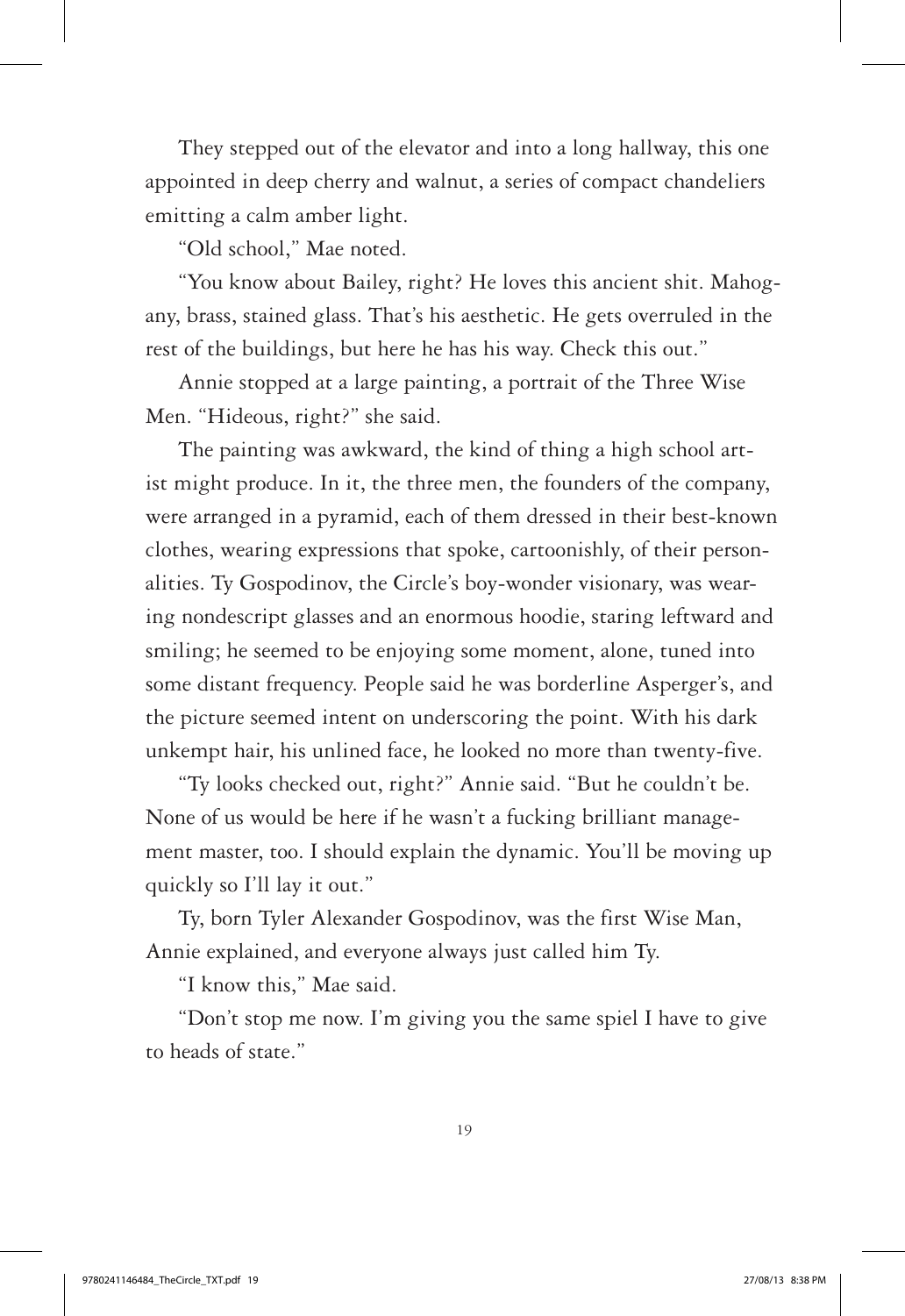They stepped out of the elevator and into a long hallway, this one appointed in deep cherry and walnut, a series of compact chandeliers emitting a calm amber light.

"Old school," Mae noted.

"You know about Bailey, right? He loves this ancient shit. Mahogany, brass, stained glass. That's his aesthetic. He gets overruled in the rest of the buildings, but here he has his way. Check this out."

Annie stopped at a large painting, a portrait of the Three Wise Men. "Hideous, right?" she said.

The painting was awkward, the kind of thing a high school artist might produce. In it, the three men, the founders of the company, were arranged in a pyramid, each of them dressed in their best-known clothes, wearing expressions that spoke, cartoonishly, of their personalities. Ty Gospodinov, the Circle's boy- wonder visionary, was wearing nondescript glasses and an enormous hoodie, staring leftward and smiling; he seemed to be enjoying some moment, alone, tuned into some distant frequency. People said he was borderline Asperger's, and the picture seemed intent on underscoring the point. With his dark unkempt hair, his unlined face, he looked no more than twenty-five.

"Ty looks checked out, right?" Annie said. "But he couldn't be. None of us would be here if he wasn't a fucking brilliant management master, too. I should explain the dynamic. You'll be moving up quickly so I'll lay it out."

Ty, born Tyler Alexander Gospodinov, was the first Wise Man, Annie explained, and everyone always just called him Ty.

"I know this," Mae said.

"Don't stop me now. I'm giving you the same spiel I have to give to heads of state."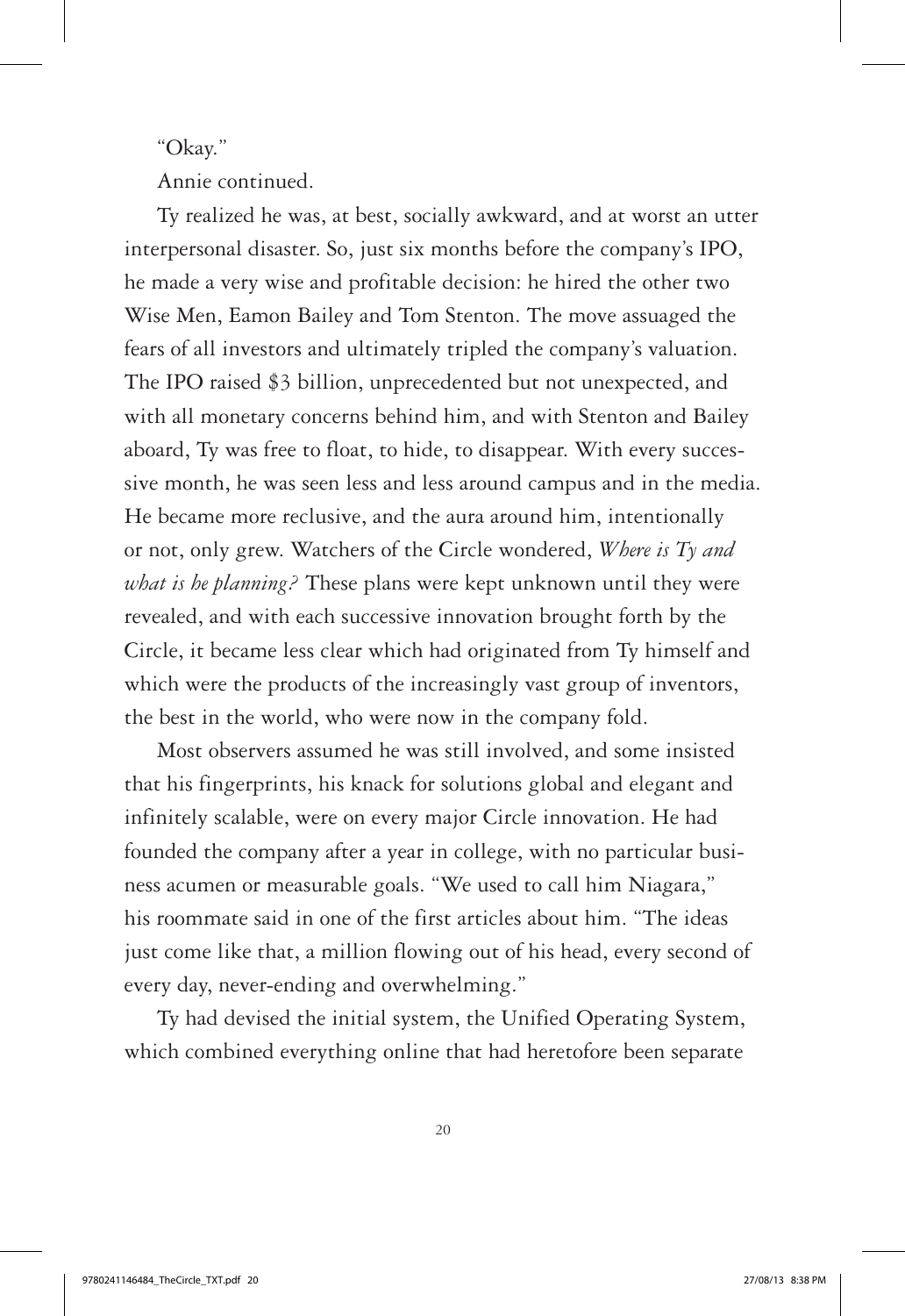"Okay."

Annie continued.

Ty realized he was, at best, socially awkward, and at worst an utter interpersonal disaster. So, just six months before the company's IPO, he made a very wise and profitable decision: he hired the other two Wise Men, Eamon Bailey and Tom Stenton. The move assuaged the fears of all investors and ultimately tripled the company's valuation. The IPO raised \$3 billion, unprecedented but not unexpected, and with all monetary concerns behind him, and with Stenton and Bailey aboard, Ty was free to float, to hide, to disappear. With every successive month, he was seen less and less around campus and in the media. He became more reclusive, and the aura around him, intentionally or not, only grew. Watchers of the Circle wondered, *Where is Ty and what is he planning?* These plans were kept unknown until they were revealed, and with each successive innovation brought forth by the Circle, it became less clear which had originated from Ty himself and which were the products of the increasingly vast group of inventors, the best in the world, who were now in the company fold.

Most observers assumed he was still involved, and some insisted that his fingerprints, his knack for solutions global and elegant and infinitely scalable, were on every major Circle innovation. He had founded the company after a year in college, with no particular business acumen or measurable goals. "We used to call him Niagara," his roommate said in one of the first articles about him. "The ideas just come like that, a million flowing out of his head, every second of every day, never-ending and overwhelming."

Ty had devised the initial system, the Unified Operating System, which combined everything online that had heretofore been separate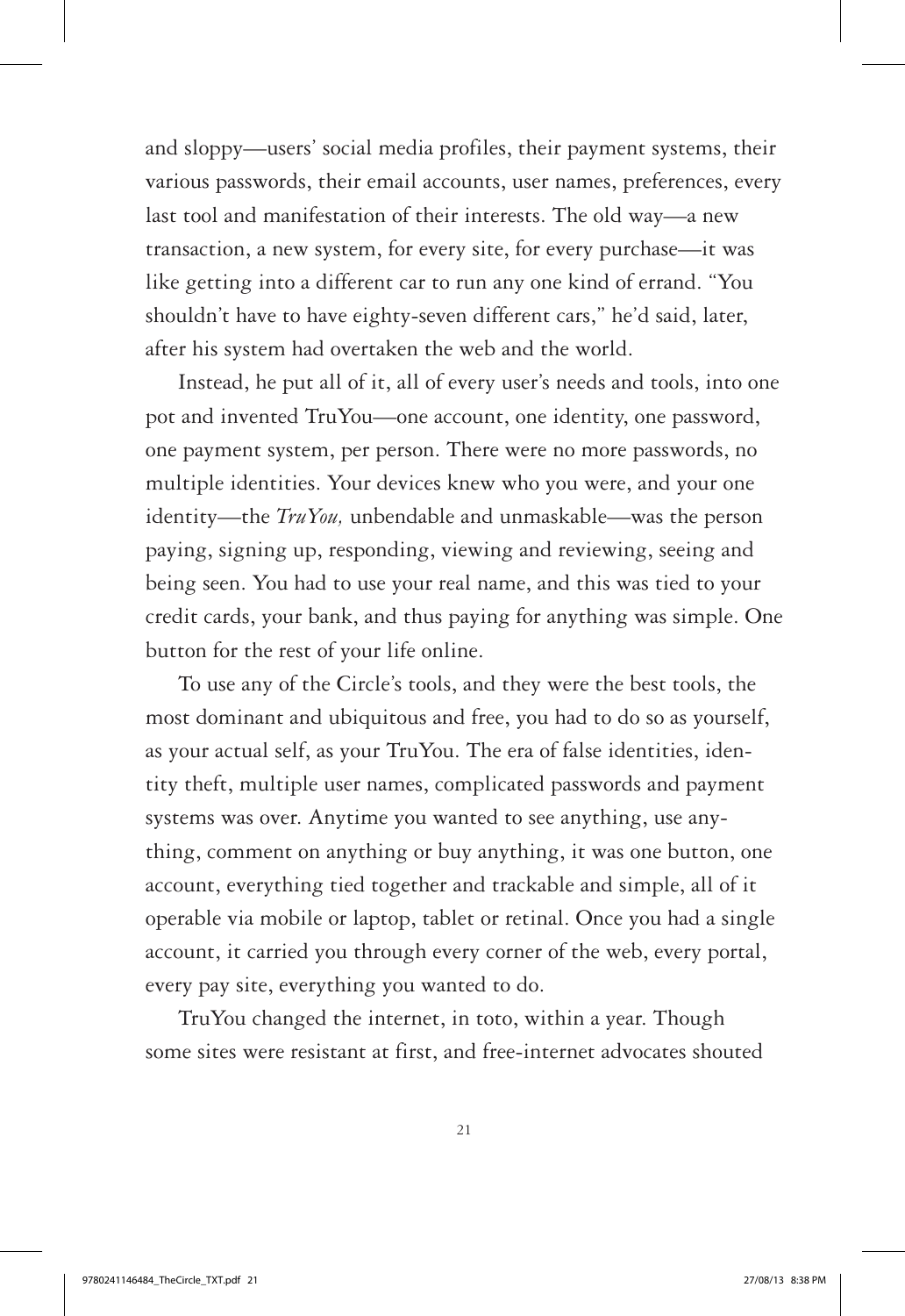and sloppy— users' social media profiles, their payment systems, their various passwords, their email accounts, user names, preferences, every last tool and manifestation of their interests. The old way—a new transaction, a new system, for every site, for every purchase— it was like getting into a different car to run any one kind of errand. "You shouldn't have to have eighty-seven different cars," he'd said, later, after his system had overtaken the web and the world.

Instead, he put all of it, all of every user's needs and tools, into one pot and invented TruYou— one account, one identity, one password, one payment system, per person. There were no more passwords, no multiple identities. Your devices knew who you were, and your one identity—the *TruYou*, unbendable and unmaskable—was the person paying, signing up, responding, viewing and reviewing, seeing and being seen. You had to use your real name, and this was tied to your credit cards, your bank, and thus paying for anything was simple. One button for the rest of your life online.

To use any of the Circle's tools, and they were the best tools, the most dominant and ubiquitous and free, you had to do so as yourself, as your actual self, as your TruYou. The era of false identities, identity theft, multiple user names, complicated passwords and payment systems was over. Anytime you wanted to see anything, use anything, comment on anything or buy anything, it was one button, one account, everything tied together and trackable and simple, all of it operable via mobile or laptop, tablet or retinal. Once you had a single account, it carried you through every corner of the web, every portal, every pay site, everything you wanted to do.

TruYou changed the internet, in toto, within a year. Though some sites were resistant at first, and free- internet advocates shouted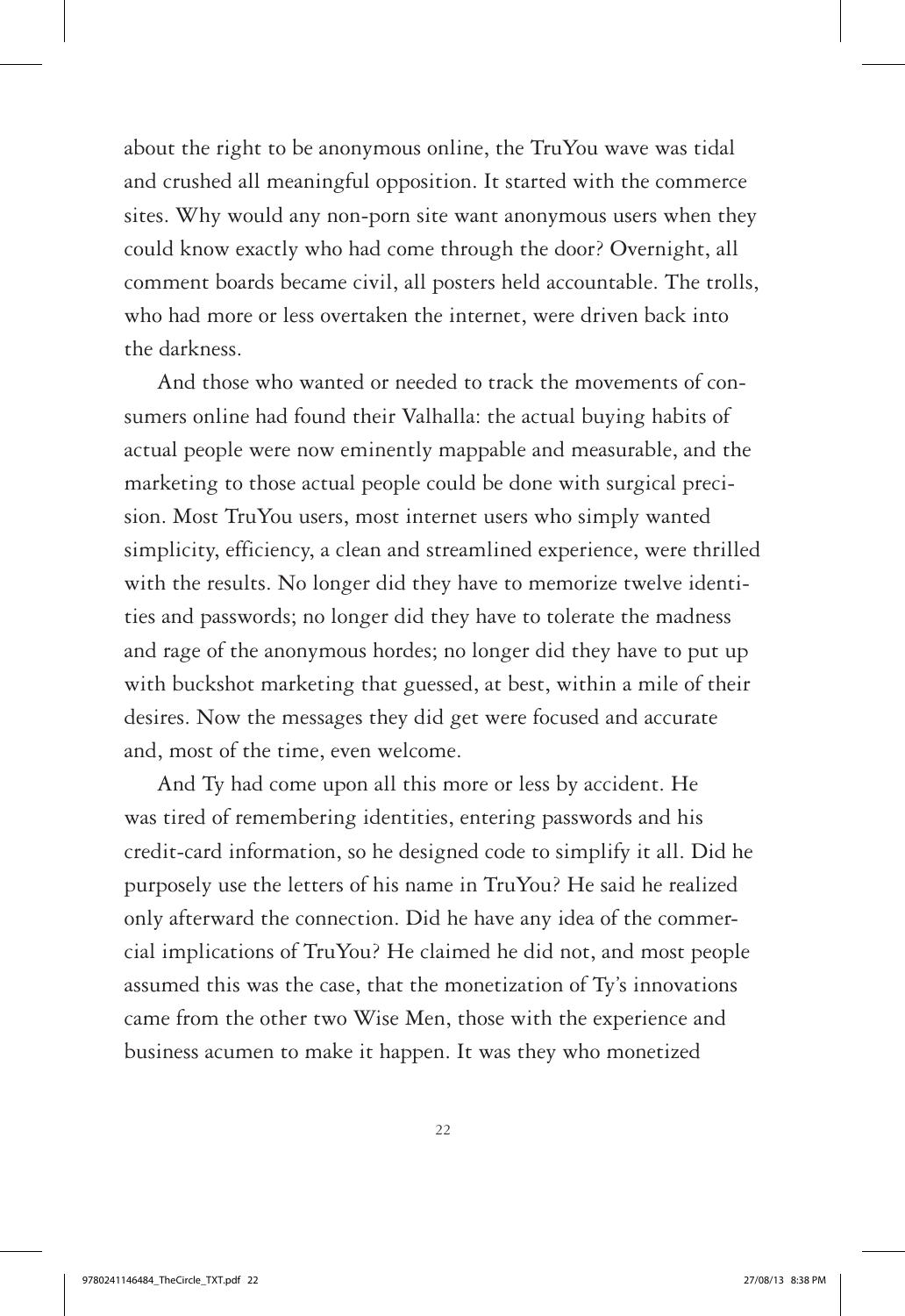about the right to be anonymous online, the TruYou wave was tidal and crushed all meaningful opposition. It started with the commerce sites. Why would any non-porn site want anonymous users when they could know exactly who had come through the door? Overnight, all comment boards became civil, all posters held accountable. The trolls, who had more or less overtaken the internet, were driven back into the darkness.

And those who wanted or needed to track the movements of consumers online had found their Valhalla: the actual buying habits of actual people were now eminently mappable and measurable, and the marketing to those actual people could be done with surgical precision. Most TruYou users, most internet users who simply wanted simplicity, efficiency, a clean and streamlined experience, were thrilled with the results. No longer did they have to memorize twelve identities and passwords; no longer did they have to tolerate the madness and rage of the anonymous hordes; no longer did they have to put up with buckshot marketing that guessed, at best, within a mile of their desires. Now the messages they did get were focused and accurate and, most of the time, even welcome.

And Ty had come upon all this more or less by accident. He was tired of remembering identities, entering passwords and his credit- card information, so he designed code to simplify it all. Did he purposely use the letters of his name in TruYou? He said he realized only afterward the connection. Did he have any idea of the commercial implications of TruYou? He claimed he did not, and most people assumed this was the case, that the monetization of Ty's innovations came from the other two Wise Men, those with the experience and business acumen to make it happen. It was they who monetized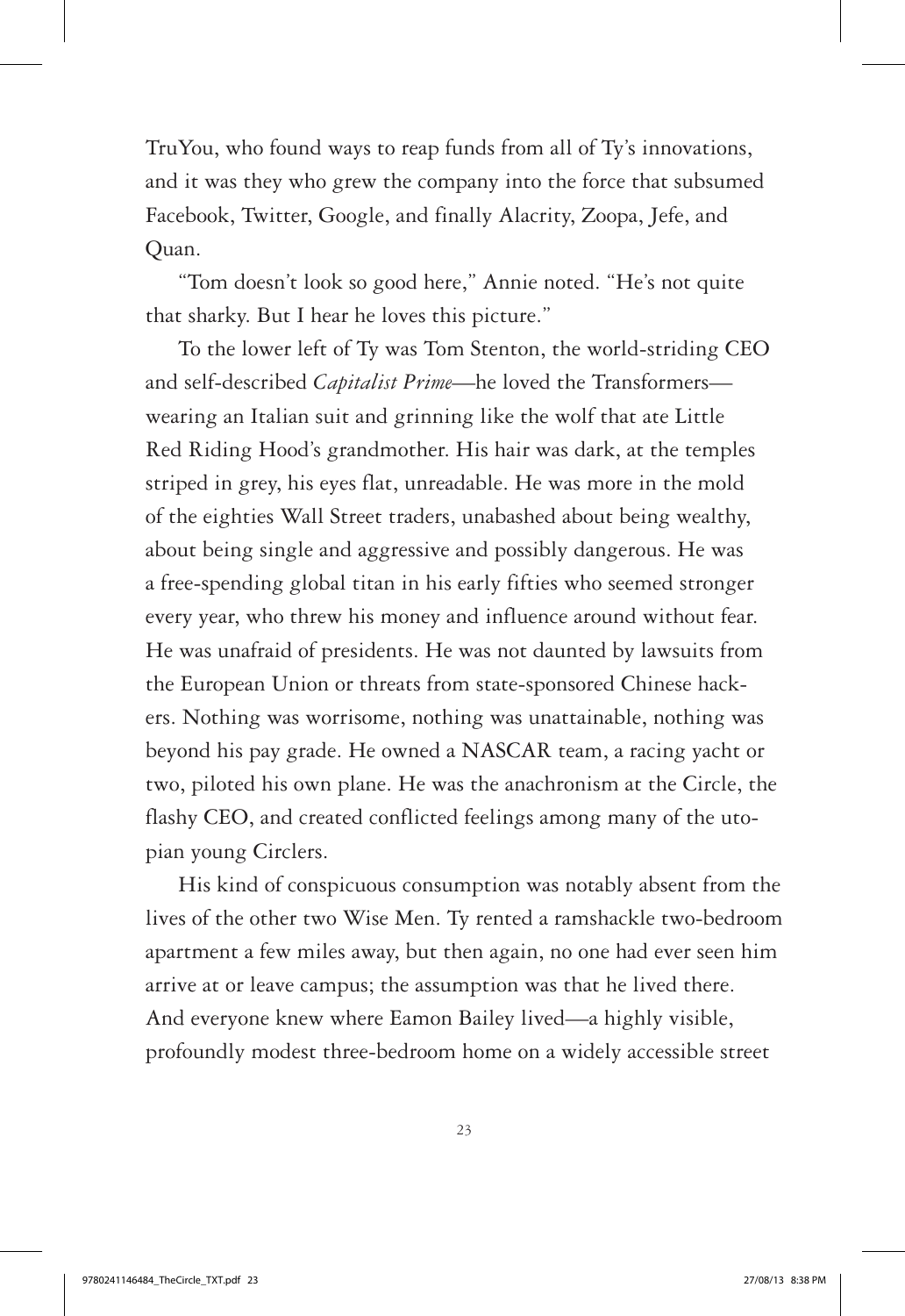TruYou, who found ways to reap funds from all of Ty's innovations, and it was they who grew the company into the force that subsumed Facebook, Twitter, Google, and finally Alacrity, Zoopa, Jefe, and Quan.

"Tom doesn't look so good here," Annie noted. "He's not quite that sharky. But I hear he loves this picture."

To the lower left of Ty was Tom Stenton, the world-striding CEO and self- described *Capitalist Prime*— he loved the Transformers wearing an Italian suit and grinning like the wolf that ate Little Red Riding Hood's grandmother. His hair was dark, at the temples striped in grey, his eyes flat, unreadable. He was more in the mold of the eighties Wall Street traders, unabashed about being wealthy, about being single and aggressive and possibly dangerous. He was a free- spending global titan in his early fifties who seemed stronger every year, who threw his money and influence around without fear. He was unafraid of presidents. He was not daunted by lawsuits from the European Union or threats from state- sponsored Chinese hackers. Nothing was worrisome, nothing was unattainable, nothing was beyond his pay grade. He owned a NASCAR team, a racing yacht or two, piloted his own plane. He was the anachronism at the Circle, the flashy CEO, and created conflicted feelings among many of the utopian young Circlers.

His kind of conspicuous consumption was notably absent from the lives of the other two Wise Men. Ty rented a ramshackle two- bedroom apartment a few miles away, but then again, no one had ever seen him arrive at or leave campus; the assumption was that he lived there. And everyone knew where Eamon Bailey lived—a highly visible, profoundly modest three- bedroom home on a widely accessible street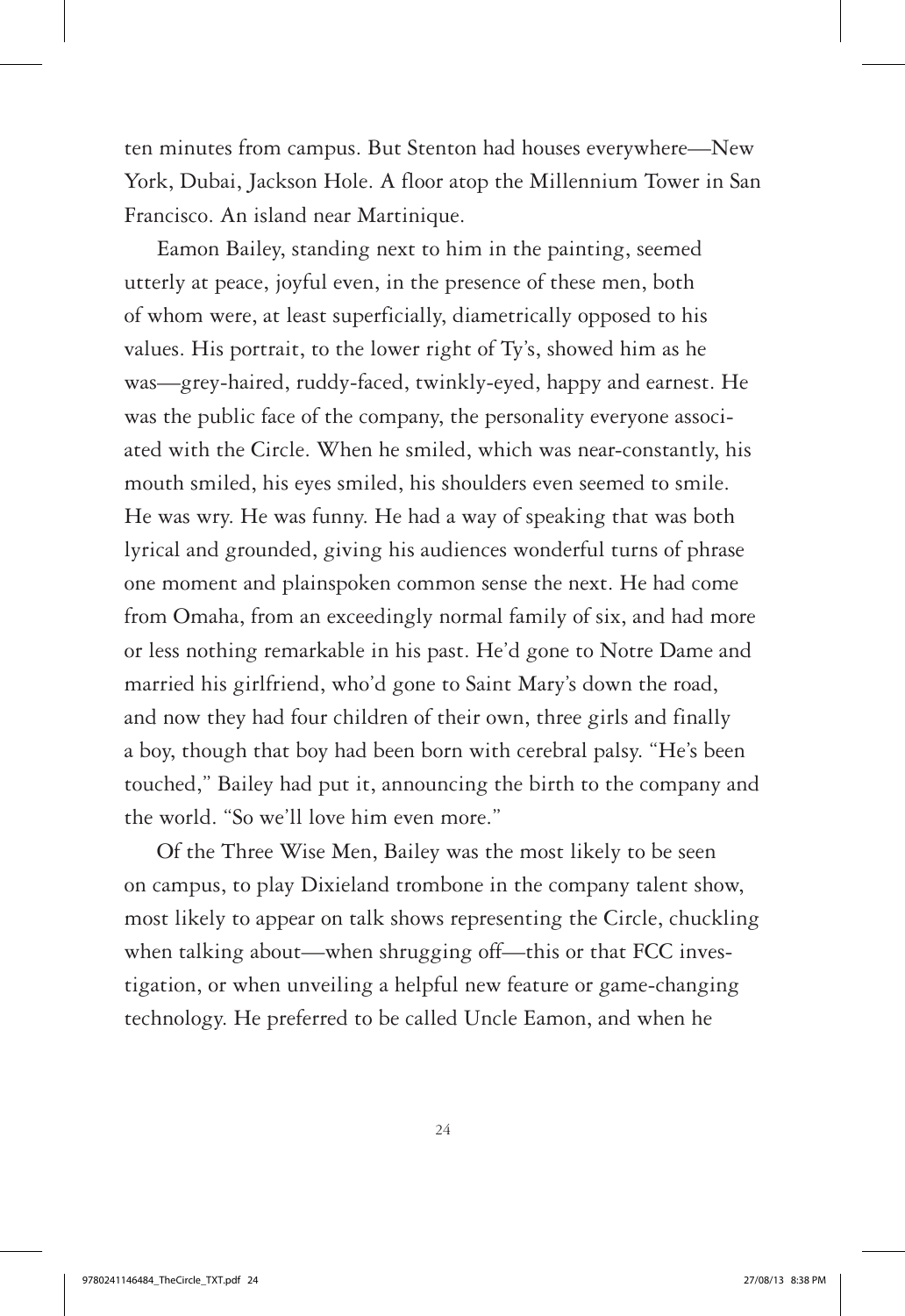ten minutes from campus. But Stenton had houses everywhere— New York, Dubai, Jackson Hole. A floor atop the Millennium Tower in San Francisco. An island near Martinique.

Eamon Bailey, standing next to him in the painting, seemed utterly at peace, joyful even, in the presence of these men, both of whom were, at least superficially, diametrically opposed to his values. His portrait, to the lower right of Ty's, showed him as he was—grey-haired, ruddy-faced, twinkly-eyed, happy and earnest. He was the public face of the company, the personality everyone associated with the Circle. When he smiled, which was near-constantly, his mouth smiled, his eyes smiled, his shoulders even seemed to smile. He was wry. He was funny. He had a way of speaking that was both lyrical and grounded, giving his audiences wonderful turns of phrase one moment and plainspoken common sense the next. He had come from Omaha, from an exceedingly normal family of six, and had more or less nothing remarkable in his past. He'd gone to Notre Dame and married his girlfriend, who'd gone to Saint Mary's down the road, and now they had four children of their own, three girls and finally a boy, though that boy had been born with cerebral palsy. "He's been touched," Bailey had put it, announcing the birth to the company and the world. "So we'll love him even more."

Of the Three Wise Men, Bailey was the most likely to be seen on campus, to play Dixieland trombone in the company talent show, most likely to appear on talk shows representing the Circle, chuckling when talking about—when shrugging off—this or that FCC investigation, or when unveiling a helpful new feature or game- changing technology. He preferred to be called Uncle Eamon, and when he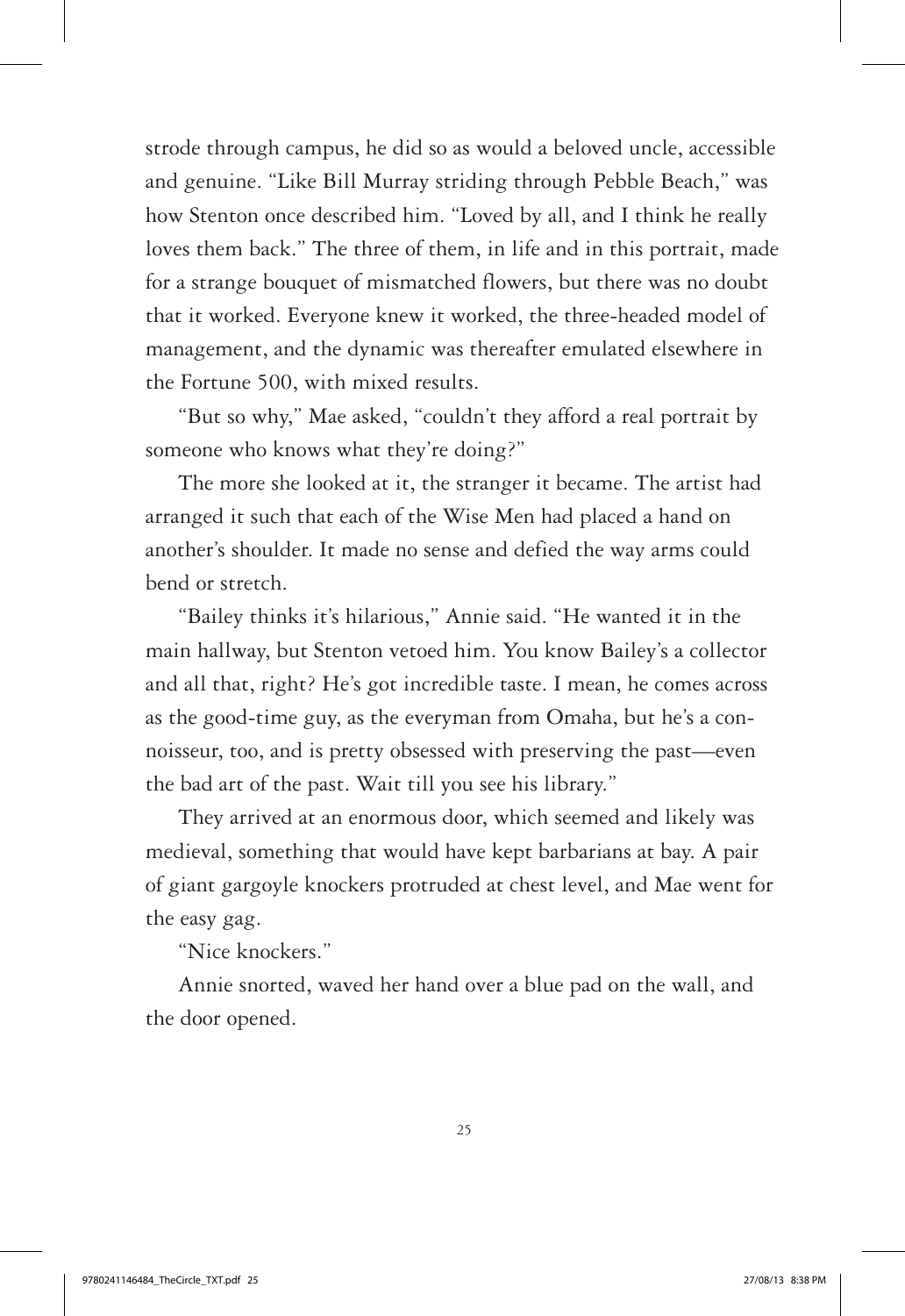strode through campus, he did so as would a beloved uncle, accessible and genuine. "Like Bill Murray striding through Pebble Beach," was how Stenton once described him. "Loved by all, and I think he really loves them back." The three of them, in life and in this portrait, made for a strange bouquet of mismatched flowers, but there was no doubt that it worked. Everyone knew it worked, the three- headed model of management, and the dynamic was thereafter emulated elsewhere in the Fortune 500, with mixed results.

"But so why," Mae asked, " couldn't they afford a real portrait by someone who knows what they're doing?"

The more she looked at it, the stranger it became. The artist had arranged it such that each of the Wise Men had placed a hand on another's shoulder. It made no sense and defied the way arms could bend or stretch.

"Bailey thinks it's hilarious," Annie said. "He wanted it in the main hallway, but Stenton vetoed him. You know Bailey's a collector and all that, right? He's got incredible taste. I mean, he comes across as the good-time guy, as the everyman from Omaha, but he's a connoisseur, too, and is pretty obsessed with preserving the past— even the bad art of the past. Wait till you see his library."

They arrived at an enormous door, which seemed and likely was medieval, something that would have kept barbarians at bay. A pair of giant gargoyle knockers protruded at chest level, and Mae went for the easy gag.

"Nice knockers."

Annie snorted, waved her hand over a blue pad on the wall, and the door opened.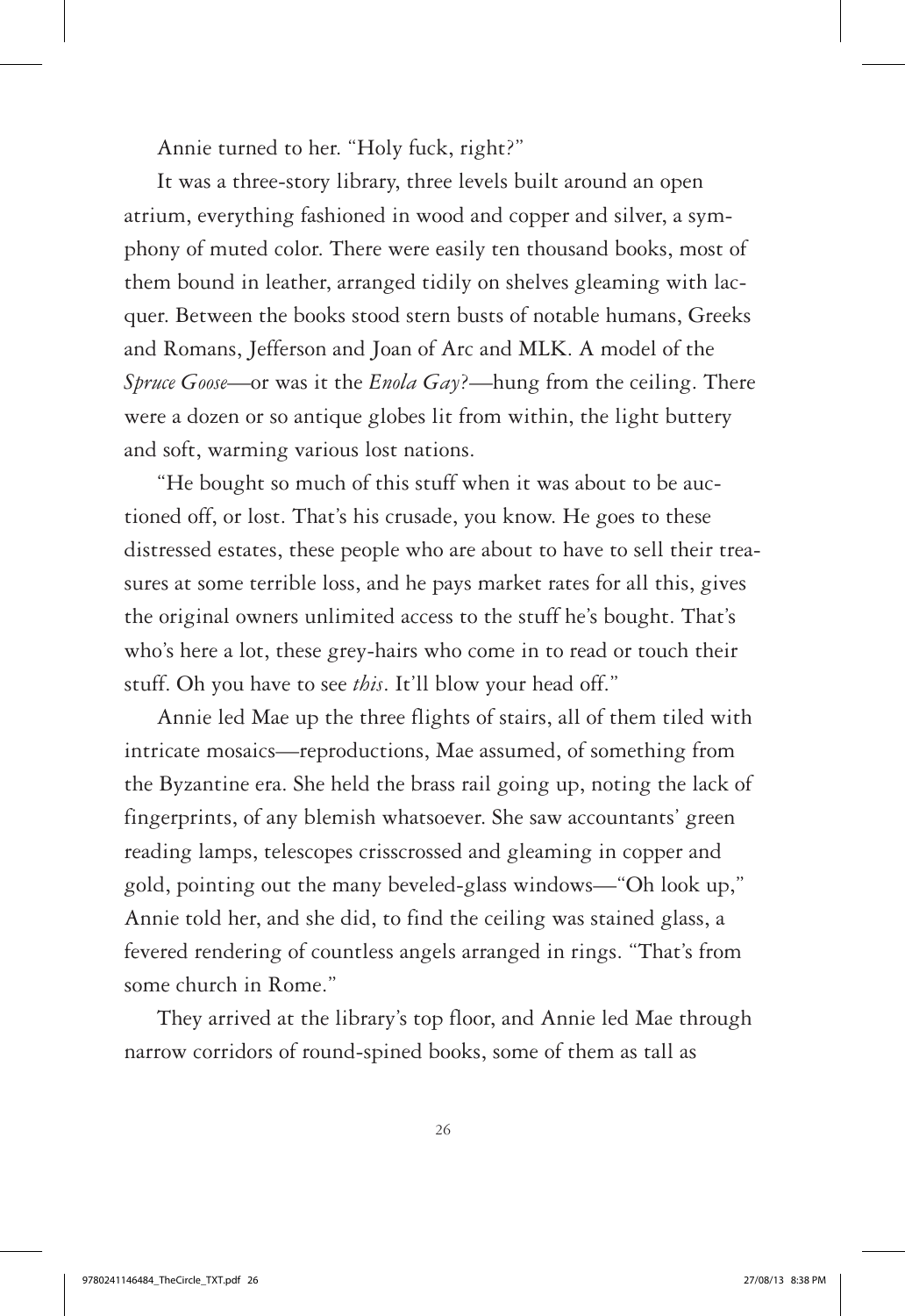Annie turned to her. "Holy fuck, right?"

It was a three-story library, three levels built around an open atrium, everything fashioned in wood and copper and silver, a symphony of muted color. There were easily ten thousand books, most of them bound in leather, arranged tidily on shelves gleaming with lacquer. Between the books stood stern busts of notable humans, Greeks and Romans, Jefferson and Joan of Arc and MLK. A model of the *Spruce Goose*— or was it the *Enola Gay*?— hung from the ceiling. There were a dozen or so antique globes lit from within, the light buttery and soft, warming various lost nations.

"He bought so much of this stuff when it was about to be auctioned off, or lost. That's his crusade, you know. He goes to these distressed estates, these people who are about to have to sell their treasures at some terrible loss, and he pays market rates for all this, gives the original owners unlimited access to the stuff he's bought. That's who's here a lot, these grey-hairs who come in to read or touch their stuff. Oh you have to see *this*. It'll blow your head off."

Annie led Mae up the three flights of stairs, all of them tiled with intricate mosaics— reproductions, Mae assumed, of something from the Byzantine era. She held the brass rail going up, noting the lack of fingerprints, of any blemish whatsoever. She saw accountants' green reading lamps, telescopes crisscrossed and gleaming in copper and gold, pointing out the many beveled- glass windows— "Oh look up," Annie told her, and she did, to find the ceiling was stained glass, a fevered rendering of countless angels arranged in rings. "That's from some church in Rome."

They arrived at the library's top floor, and Annie led Mae through narrow corridors of round-spined books, some of them as tall as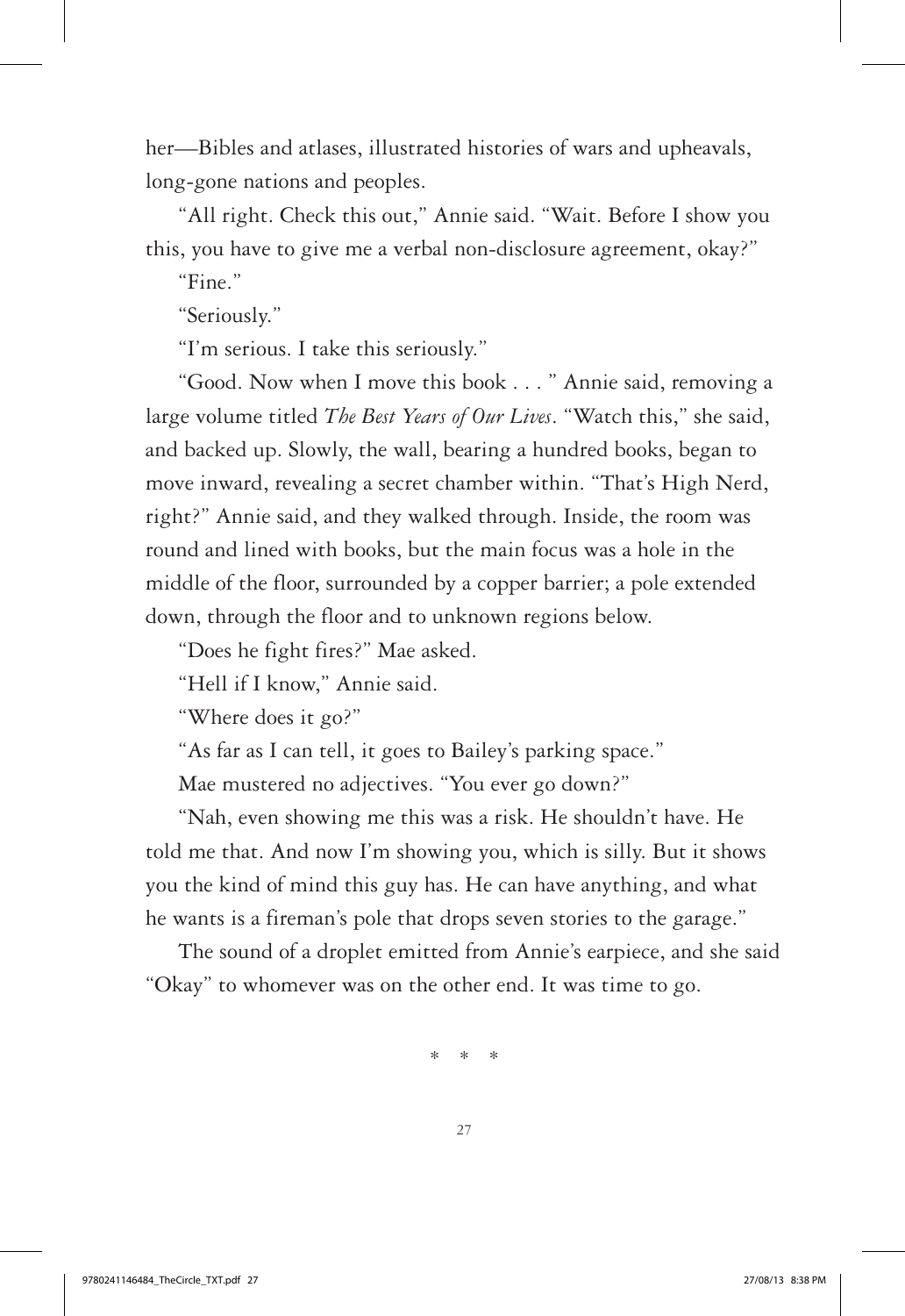her— Bibles and atlases, illustrated histories of wars and upheavals, long-gone nations and peoples.

"All right. Check this out," Annie said. "Wait. Before I show you this, you have to give me a verbal non-disclosure agreement, okay?"

"Fine."

"Seriously."

"I'm serious. I take this seriously."

"Good. Now when I move this book . . . " Annie said, removing a large volume titled *The Best Years of Our Lives*. "Watch this," she said, and backed up. Slowly, the wall, bearing a hundred books, began to move inward, revealing a secret chamber within. "That's High Nerd, right?" Annie said, and they walked through. Inside, the room was round and lined with books, but the main focus was a hole in the middle of the floor, surrounded by a copper barrier; a pole extended down, through the floor and to unknown regions below.

"Does he fight fires?" Mae asked.

"Hell if I know," Annie said.

"Where does it go?"

"As far as I can tell, it goes to Bailey's parking space."

Mae mustered no adjectives. "You ever go down?"

"Nah, even showing me this was a risk. He shouldn't have. He told me that. And now I'm showing you, which is silly. But it shows you the kind of mind this guy has. He can have anything, and what he wants is a fireman's pole that drops seven stories to the garage."

The sound of a droplet emitted from Annie's earpiece, and she said "Okay" to whomever was on the other end. It was time to go.

\*\*\*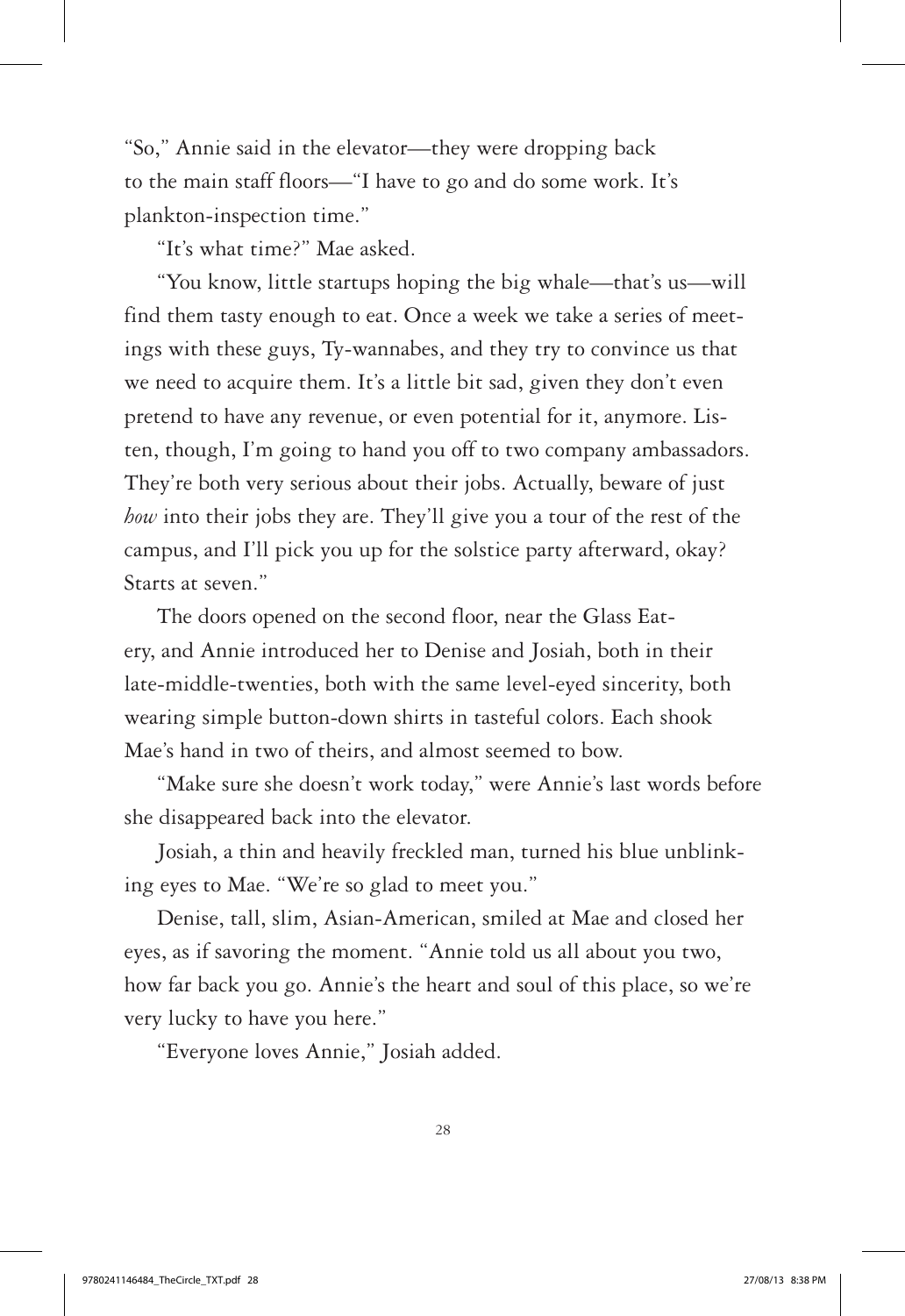"So," Annie said in the elevator— they were dropping back to the main staff floors— "I have to go and do some work. It's plankton-inspection time."

"It's what time?" Mae asked.

"You know, little startups hoping the big whale— that's us— will find them tasty enough to eat. Once a week we take a series of meetings with these guys, Ty- wannabes, and they try to convince us that we need to acquire them. It's a little bit sad, given they don't even pretend to have any revenue, or even potential for it, anymore. Listen, though, I'm going to hand you off to two company ambassadors. They're both very serious about their jobs. Actually, beware of just *how* into their jobs they are. They'll give you a tour of the rest of the campus, and I'll pick you up for the solstice party afterward, okay? Starts at seven."

The doors opened on the second floor, near the Glass Eatery, and Annie introduced her to Denise and Josiah, both in their late-middle-twenties, both with the same level-eyed sincerity, both wearing simple button-down shirts in tasteful colors. Each shook Mae's hand in two of theirs, and almost seemed to bow.

"Make sure she doesn't work today," were Annie's last words before she disappeared back into the elevator.

Josiah, a thin and heavily freckled man, turned his blue unblinking eyes to Mae. "We're so glad to meet you."

Denise, tall, slim, Asian- American, smiled at Mae and closed her eyes, as if savoring the moment. "Annie told us all about you two, how far back you go. Annie's the heart and soul of this place, so we're very lucky to have you here."

"Everyone loves Annie," Josiah added.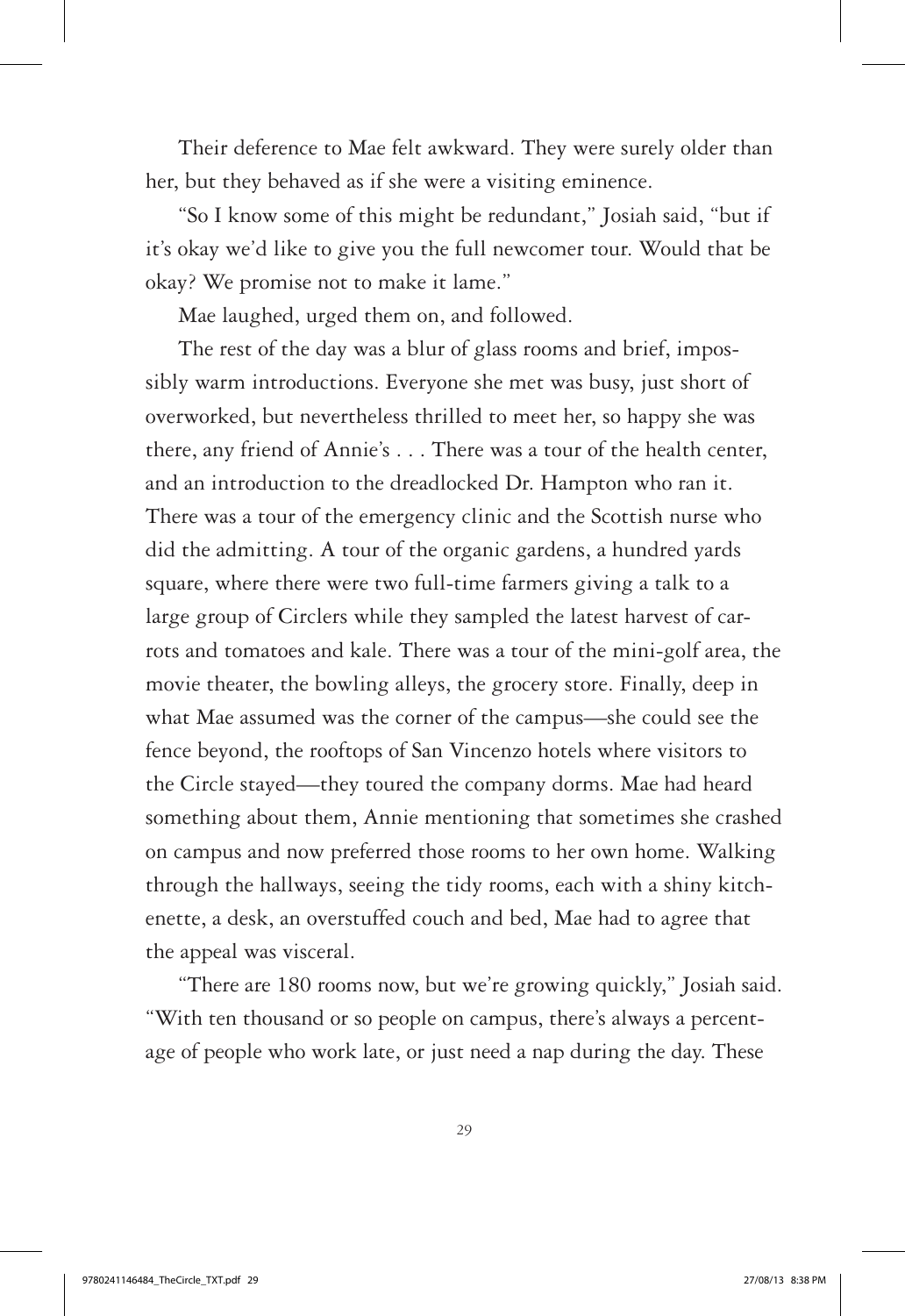Their deference to Mae felt awkward. They were surely older than her, but they behaved as if she were a visiting eminence.

"So I know some of this might be redundant," Josiah said, "but if it's okay we'd like to give you the full newcomer tour. Would that be okay? We promise not to make it lame."

Mae laughed, urged them on, and followed.

The rest of the day was a blur of glass rooms and brief, impossibly warm introductions. Everyone she met was busy, just short of overworked, but nevertheless thrilled to meet her, so happy she was there, any friend of Annie's . . . There was a tour of the health center, and an introduction to the dreadlocked Dr. Hampton who ran it. There was a tour of the emergency clinic and the Scottish nurse who did the admitting. A tour of the organic gardens, a hundred yards square, where there were two full-time farmers giving a talk to a large group of Circlers while they sampled the latest harvest of carrots and tomatoes and kale. There was a tour of the mini- golf area, the movie theater, the bowling alleys, the grocery store. Finally, deep in what Mae assumed was the corner of the campus— she could see the fence beyond, the rooftops of San Vincenzo hotels where visitors to the Circle stayed— they toured the company dorms. Mae had heard something about them, Annie mentioning that sometimes she crashed on campus and now preferred those rooms to her own home. Walking through the hallways, seeing the tidy rooms, each with a shiny kitchenette, a desk, an overstuffed couch and bed, Mae had to agree that the appeal was visceral.

"There are 180 rooms now, but we're growing quickly," Josiah said. "With ten thousand or so people on campus, there's always a percentage of people who work late, or just need a nap during the day. These